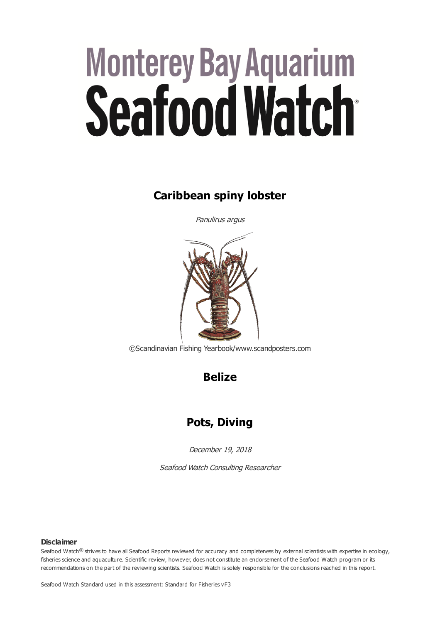# **Monterey Bay Aquarium** Seafood Watch

# **Caribbean spiny lobster**

Panulirus argus



©Scandinavian Fishing Yearbook/www.scandposters.com

**Belize**

# **Pots, Diving**

December 19, 2018

Seafood Watch Consulting Researcher

#### **Disclaimer**

Seafood Watch® strives to have all Seafood Reports reviewed for accuracy and completeness by external scientists with expertise in ecology, fisheries science and aquaculture. Scientific review, however, does not constitute an endorsement of the Seafood Watch program or its recommendations on the part of the reviewing scientists. Seafood Watch is solely responsible for the conclusions reached in this report.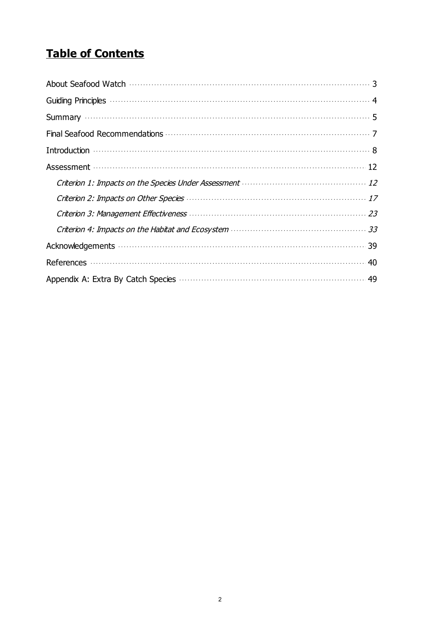# **Table of Contents**

| Introduction $\cdots$                                                                                                                              |
|----------------------------------------------------------------------------------------------------------------------------------------------------|
|                                                                                                                                                    |
|                                                                                                                                                    |
| Criterion 2: Impacts on Other Species <b>Manual According to the Criterion</b> 2: Impacts on Other Species <b>Manual According to the Criteria</b> |
|                                                                                                                                                    |
|                                                                                                                                                    |
|                                                                                                                                                    |
|                                                                                                                                                    |
|                                                                                                                                                    |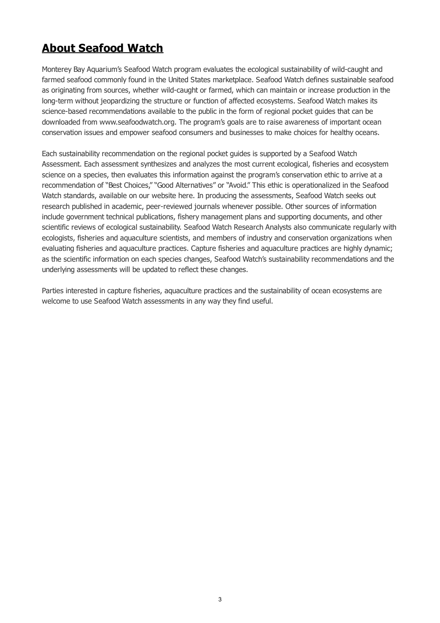# <span id="page-2-0"></span>**About Seafood Watch**

Monterey Bay Aquarium's Seafood Watch program evaluates the ecological sustainability of wild-caught and farmed seafood commonly found in the United States marketplace. Seafood Watch defines sustainable seafood as originating from sources, whether wild-caught or farmed, which can maintain or increase production in the long-term without jeopardizing the structure or function of affected ecosystems. Seafood Watch makes its science-based recommendations available to the public in the form of regional pocket guides that can be downloaded from www.seafoodwatch.org. The program's goals are to raise awareness of important ocean conservation issues and empower seafood consumers and businesses to make choices for healthy oceans.

Each sustainability recommendation on the regional pocket guides is supported by a Seafood Watch Assessment. Each assessment synthesizes and analyzes the most current ecological, fisheries and ecosystem science on a species, then evaluates this information against the program's conservation ethic to arrive at a recommendation of "Best Choices," "Good Alternatives" or "Avoid." This ethic is operationalized in the Seafood Watch standards, available on our website here. In producing the assessments, Seafood Watch seeks out research published in academic, peer-reviewed journals whenever possible. Other sources of information include government technical publications, fishery management plans and supporting documents, and other scientific reviews of ecological sustainability. Seafood Watch Research Analysts also communicate regularly with ecologists, fisheries and aquaculture scientists, and members of industry and conservation organizations when evaluating fisheries and aquaculture practices. Capture fisheries and aquaculture practices are highly dynamic; as the scientific information on each species changes, Seafood Watch's sustainability recommendations and the underlying assessments will be updated to reflect these changes.

Parties interested in capture fisheries, aquaculture practices and the sustainability of ocean ecosystems are welcome to use Seafood Watch assessments in any way they find useful.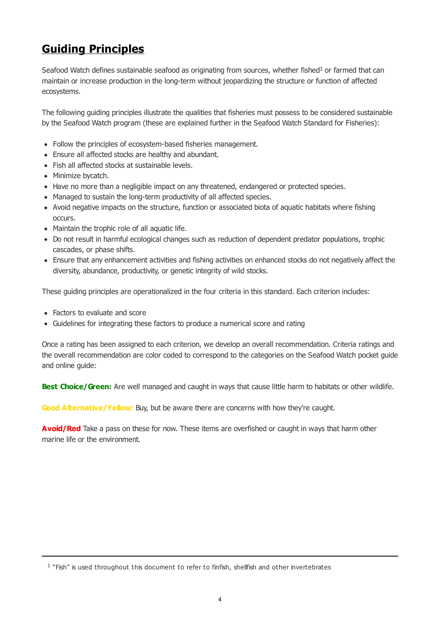# <span id="page-3-0"></span>**Guiding Principles**

Seafood Watch defines sustainable seafood as originating from sources, whether fished<sup>1</sup> or farmed that can maintain or increase production in the long-term without jeopardizing the structure or function of affected ecosystems.

The following guiding principles illustrate the qualities that fisheries must possess to be considered sustainable by the Seafood Watch program (these are explained further in the Seafood Watch Standard for Fisheries):

- Follow the principles of ecosystem-based fisheries management.
- Ensure all affected stocks are healthy and abundant.
- Fish all affected stocks at sustainable levels.
- Minimize bycatch.
- Have no more than a negligible impact on any threatened, endangered or protected species.
- Managed to sustain the long-term productivity of all affected species.
- Avoid negative impacts on the structure, function or associated biota of aquatic habitats where fishing occurs.
- Maintain the trophic role of all aquatic life.
- Do not result in harmful ecological changes such as reduction of dependent predator populations, trophic cascades, or phase shifts.
- Ensure that any enhancement activities and fishing activities on enhanced stocks do not negatively affect the diversity, abundance, productivity, or genetic integrity of wild stocks.

These guiding principles are operationalized in the four criteria in this standard. Each criterion includes:

- Factors to evaluate and score
- Guidelines for integrating these factors to produce a numerical score and rating

Once a rating has been assigned to each criterion, we develop an overall recommendation. Criteria ratings and the overall recommendation are color coded to correspond to the categories on the Seafood Watch pocket guide and online guide:

**Best Choice/Green:** Are well managed and caught in ways that cause little harm to habitats or other wildlife.

Good Alternative/Yellow: Buy, but be aware there are concerns with how they're caught.

**Avoid/Red** Take a pass on these for now. These items are overfished or caught in ways that harm other marine life or the environment.

 $1$  "Fish" is used throughout this document to refer to finfish, shellfish and other invertebrates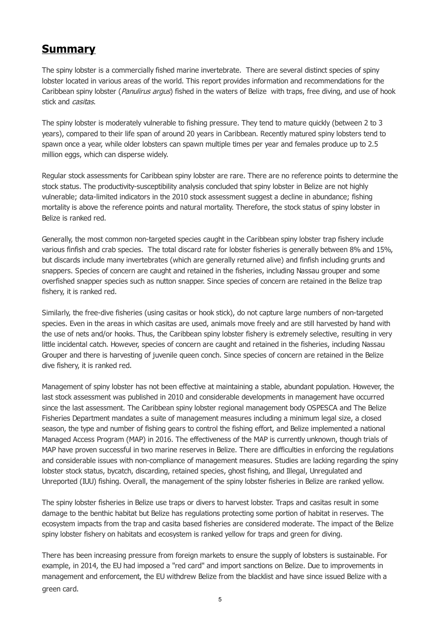# <span id="page-4-0"></span>**Summary**

The spiny lobster is a commercially fished marine invertebrate. There are several distinct species of spiny lobster located in various areas of the world. This report provides information and recommendations for the Caribbean spiny lobster (Panulirus argus) fished in the waters of Belize with traps, free diving, and use of hook stick and *casitas*.

The spiny lobster is moderately vulnerable to fishing pressure. They tend to mature quickly (between 2 to 3 years), compared to their life span of around 20 years in Caribbean. Recently matured spiny lobsters tend to spawn once a year, while older lobsters can spawn multiple times per year and females produce up to 2.5 million eggs, which can disperse widely.

Regular stock assessments for Caribbean spiny lobster are rare. There are no reference points to determine the stock status. The productivity-susceptibility analysis concluded that spiny lobster in Belize are not highly vulnerable; data-limited indicators in the 2010 stock assessment suggest a decline in abundance; fishing mortality is above the reference points and natural mortality. Therefore, the stock status of spiny lobster in Belize is ranked red.

Generally, the most common non-targeted species caught in the Caribbean spiny lobster trap fishery include various finfish and crab species. The total discard rate for lobster fisheries is generally between 8% and 15%, but discards include many invertebrates (which are generally returned alive) and finfish including grunts and snappers. Species of concern are caught and retained in the fisheries, including Nassau grouper and some overfished snapper species such as nutton snapper. Since species of concern are retained in the Belize trap fishery, it is ranked red.

Similarly, the free-dive fisheries (using casitas or hook stick), do not capture large numbers of non-targeted species. Even in the areas in which casitas are used, animals move freely and are still harvested by hand with the use of nets and/or hooks. Thus, the Caribbean spiny lobster fishery is extremely selective, resulting in very little incidental catch. However, species of concern are caught and retained in the fisheries, including Nassau Grouper and there is harvesting of juvenile queen conch. Since species of concern are retained in the Belize dive fishery, it is ranked red.

Management of spiny lobster has not been effective at maintaining a stable, abundant population. However, the last stock assessment was published in 2010 and considerable developments in management have occurred since the last assessment. The Caribbean spiny lobster regional management body OSPESCA and The Belize Fisheries Department mandates a suite of management measures including a minimum legal size, a closed season, the type and number of fishing gears to control the fishing effort, and Belize implemented a national Managed Access Program (MAP) in 2016. The effectiveness of the MAP is currently unknown, though trials of MAP have proven successful in two marine reserves in Belize. There are difficulties in enforcing the regulations and considerable issues with non-compliance of management measures. Studies are lacking regarding the spiny lobster stock status, bycatch, discarding, retained species, ghost fishing, and Illegal, Unregulated and Unreported (IUU) fishing. Overall, the management of the spiny lobster fisheries in Belize are ranked yellow.

The spiny lobster fisheries in Belize use traps or divers to harvest lobster. Traps and casitas result in some damage to the benthic habitat but Belize has regulations protecting some portion of habitat in reserves. The ecosystem impacts from the trap and casita based fisheries are considered moderate. The impact of the Belize spiny lobster fishery on habitats and ecosystem is ranked yellow for traps and green for diving.

There has been increasing pressure from foreign markets to ensure the supply of lobsters is sustainable. For example, in 2014, the EU had imposed a "red card" and import sanctions on Belize. Due to improvements in management and enforcement, the EU withdrew Belize from the blacklist and have since issued Belize with a green card.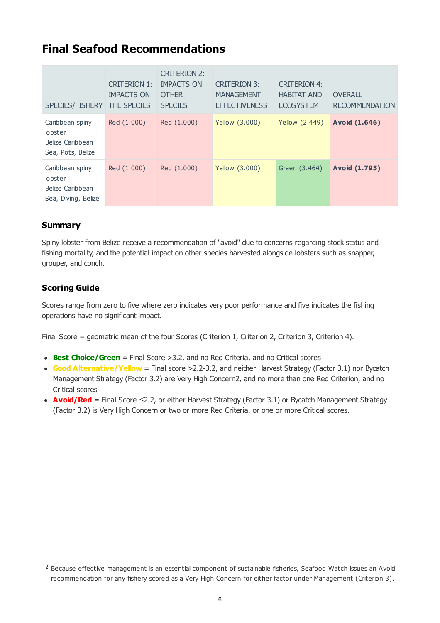# **Final Seafood Recommendations**

| SPECIES/FISHERY                                                            | <b>CRITERION 1:</b><br><b>IMPACTS ON</b><br><b>THE SPECIES</b> | CRITERION 2:<br><b>IMPACTS ON</b><br><b>OTHER</b><br><b>SPECIES</b> | <b>CRITERION 3:</b><br><b>MANAGEMENT</b><br><b>EFFECTIVENESS</b> | <b>CRITERION 4:</b><br><b>HABITAT AND</b><br><b>ECOSYSTEM</b> | OVERALL<br><b>RECOMMENDATION</b> |
|----------------------------------------------------------------------------|----------------------------------------------------------------|---------------------------------------------------------------------|------------------------------------------------------------------|---------------------------------------------------------------|----------------------------------|
| Caribbean spiny<br><b>lobster</b><br>Belize Caribbean<br>Sea, Pots, Belize | Red (1.000)                                                    | Red (1.000)                                                         | Yellow (3.000)                                                   | Yellow (2.449)                                                | Avoid (1.646)                    |
| Caribbean spiny<br>lobster<br>Belize Caribbean<br>Sea, Diving, Belize      | Red (1.000)                                                    | Red (1.000)                                                         | Yellow (3.000)                                                   | Green (3.464)                                                 | Avoid (1.795)                    |

# **Summary**

Spiny lobster from Belize receive a recommendation of "avoid" due to concerns regarding stock status and fishing mortality, and the potential impact on other species harvested alongside lobsters such as snapper, grouper, and conch.

# **Scoring Guide**

Scores range from zero to five where zero indicates very poor performance and five indicates the fishing operations have no significant impact.

Final Score = geometric mean of the four Scores (Criterion 1, Criterion 2, Criterion 3, Criterion 4).

- **Best Choice/Green** = Final Score >3.2, and no Red Criteria, and no Critical scores
- **Good Alternative/Yellow** = Final score >2.2-3.2, and neither Harvest Strategy (Factor 3.1) nor Bycatch Management Strategy (Factor 3.2) are Very High Concern2, and no more than one Red Criterion, and no Critical scores
- **Avoid/Red** = Final Score ≤2.2, or either Harvest Strategy (Factor 3.1) or Bycatch Management Strategy (Factor 3.2) is Very High Concern or two or more Red Criteria, or one or more Critical scores.

 $2$  Because effective management is an essential component of sustainable fisheries, Seafood Watch issues an Avoid recommendation for any fishery scored as a Very High Concern for either factor under Management (Criterion 3).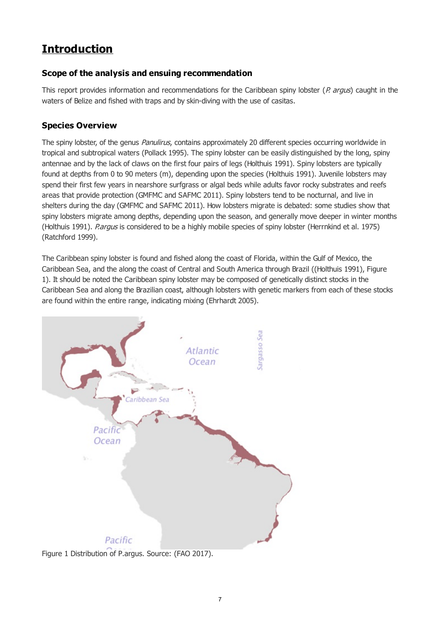# <span id="page-6-0"></span>**Introduction**

# **Scope of the analysis and ensuing recommendation**

This report provides information and recommendations for the Caribbean spiny lobster ( $P$ . argus) caught in the waters of Belize and fished with traps and by skin-diving with the use of casitas.

# **Species Overview**

The spiny lobster, of the genus Panulirus, contains approximately 20 different species occurring worldwide in tropical and subtropical waters (Pollack 1995). The spiny lobster can be easily distinguished by the long, spiny antennae and by the lack of claws on the first four pairs of legs (Holthuis 1991). Spiny lobsters are typically found at depths from 0 to 90 meters (m), depending upon the species (Holthuis 1991). Juvenile lobsters may spend their first few years in nearshore surfgrass or algal beds while adults favor rocky substrates and reefs areas that provide protection (GMFMC and SAFMC 2011). Spiny lobsters tend to be nocturnal, and live in shelters during the day (GMFMC and SAFMC 2011). How lobsters migrate is debated: some studies show that spiny lobsters migrate among depths, depending upon the season, and generally move deeper in winter months (Holthuis 1991). Pargus is considered to be a highly mobile species of spiny lobster (Herrnkind et al. 1975) (Ratchford 1999).

The Caribbean spiny lobster is found and fished along the coast of Florida, within the Gulf of Mexico, the Caribbean Sea, and the along the coast of Central and South America through Brazil ((Holthuis 1991), Figure 1). It should be noted the Caribbean spiny lobster may be composed of genetically distinct stocks in the Caribbean Sea and along the Brazilian coast, although lobsters with genetic markers from each of these stocks are found within the entire range, indicating mixing (Ehrhardt 2005).



Figure 1 Distribution of P.argus. Source: (FAO 2017).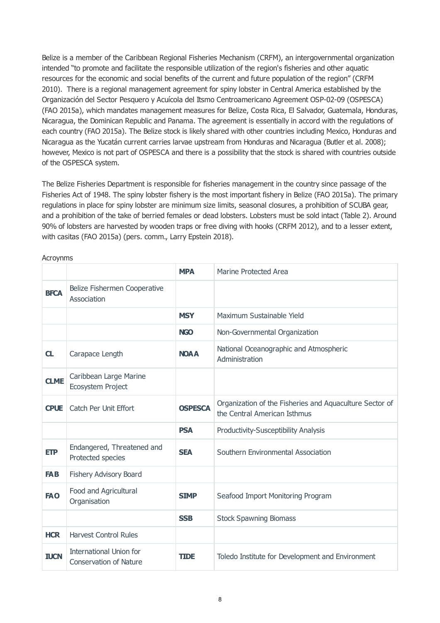<span id="page-7-0"></span>Belize is a member of the Caribbean Regional Fisheries Mechanism (CRFM), an intergovernmental organization intended "to promote and facilitate the responsible utilization of the region's fisheries and other aquatic resources for the economic and social benefits of the current and future population of the region" (CRFM 2010). There is a regional management agreement for spiny lobster in Central America established by the Organización del Sector Pesquero y Acuícola del Itsmo Centroamericano Agreement OSP-02-09 (OSPESCA) (FAO 2015a), which mandates management measures for Belize, Costa Rica, El Salvador, Guatemala, Honduras, Nicaragua, the Dominican Republic and Panama. The agreement is essentially in accord with the regulations of each country (FAO 2015a). The Belize stock is likely shared with other countries including Mexico, Honduras and Nicaragua as the Yucatán current carries larvae upstream from Honduras and Nicaragua (Butler et al. 2008); however, Mexico is not part of OSPESCA and there is a possibility that the stock is shared with countries outside of the OSPESCA system.

The Belize Fisheries Department is responsible for fisheries management in the country since passage of the Fisheries Act of 1948. The spiny lobster fishery is the most important fishery in Belize (FAO 2015a). The primary regulations in place for spiny lobster are minimum size limits, seasonal closures, a prohibition of SCUBA gear, and a prohibition of the take of berried females or dead lobsters. Lobsters must be sold intact (Table 2). Around 90% of lobsters are harvested by wooden traps or free diving with hooks (CRFM 2012), and to a lesser extent, with casitas (FAO 2015a) (pers. comm., Larry Epstein 2018).

|             |                                                          | <b>MPA</b>     | Marine Protected Area                                                                   |
|-------------|----------------------------------------------------------|----------------|-----------------------------------------------------------------------------------------|
| <b>BFCA</b> | Belize Fishermen Cooperative<br>Association              |                |                                                                                         |
|             |                                                          | <b>MSY</b>     | Maximum Sustainable Yield                                                               |
|             |                                                          | <b>NGO</b>     | Non-Governmental Organization                                                           |
| CL          | Carapace Length                                          | <b>NOAA</b>    | National Oceanographic and Atmospheric<br>Administration                                |
| <b>CLME</b> | Caribbean Large Marine<br>Ecosystem Project              |                |                                                                                         |
| <b>CPUE</b> | Catch Per Unit Effort                                    | <b>OSPESCA</b> | Organization of the Fisheries and Aquaculture Sector of<br>the Central American Isthmus |
|             |                                                          | <b>PSA</b>     | <b>Productivity-Susceptibility Analysis</b>                                             |
| <b>ETP</b>  | Endangered, Threatened and<br>Protected species          | <b>SEA</b>     | Southern Environmental Association                                                      |
| <b>FAB</b>  | Fishery Advisory Board                                   |                |                                                                                         |
| <b>FAO</b>  | Food and Agricultural<br>Organisation                    | <b>SIMP</b>    | Seafood Import Monitoring Program                                                       |
|             |                                                          | <b>SSB</b>     | <b>Stock Spawning Biomass</b>                                                           |
| <b>HCR</b>  | <b>Harvest Control Rules</b>                             |                |                                                                                         |
| <b>IUCN</b> | International Union for<br><b>Conservation of Nature</b> | <b>TIDE</b>    | Toledo Institute for Development and Environment                                        |

Acroynms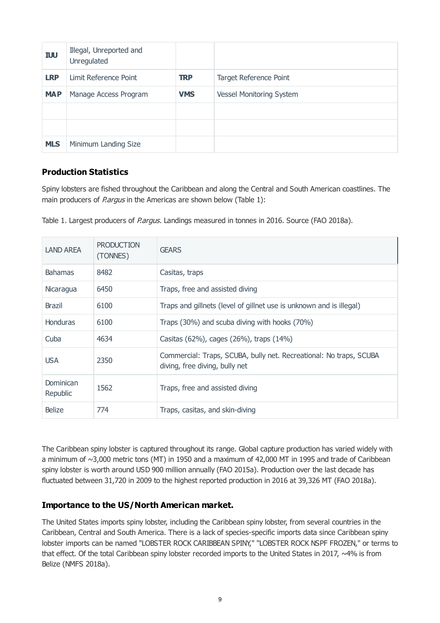| <b>IUU</b> | Illegal, Unreported and<br>Unregulated |            |                                 |
|------------|----------------------------------------|------------|---------------------------------|
| <b>LRP</b> | Limit Reference Point                  | <b>TRP</b> | Target Reference Point          |
| <b>MAP</b> | Manage Access Program                  | <b>VMS</b> | <b>Vessel Monitoring System</b> |
|            |                                        |            |                                 |
|            |                                        |            |                                 |
| <b>MLS</b> | Minimum Landing Size                   |            |                                 |

# **Production Statistics**

Spiny lobsters are fished throughout the Caribbean and along the Central and South American coastlines. The main producers of *P.argus* in the Americas are shown below (Table 1):

Table 1. Largest producers of P.argus. Landings measured in tonnes in 2016. Source (FAO 2018a).

| <b>LAND AREA</b>      | <b>PRODUCTION</b><br>(TONNES) | <b>GEARS</b>                                                                                         |
|-----------------------|-------------------------------|------------------------------------------------------------------------------------------------------|
| <b>Bahamas</b>        | 8482                          | Casitas, traps                                                                                       |
| Nicaragua             | 6450                          | Traps, free and assisted diving                                                                      |
| <b>Brazil</b>         | 6100                          | Traps and gillnets (level of gillnet use is unknown and is illegal)                                  |
| <b>Honduras</b>       | 6100                          | Traps (30%) and scuba diving with hooks (70%)                                                        |
| Cuba                  | 4634                          | Casitas (62%), cages (26%), traps (14%)                                                              |
| <b>USA</b>            | 2350                          | Commercial: Traps, SCUBA, bully net. Recreational: No traps, SCUBA<br>diving, free diving, bully net |
| Dominican<br>Republic | 1562                          | Traps, free and assisted diving                                                                      |
| <b>Belize</b>         | 774                           | Traps, casitas, and skin-diving                                                                      |

The Caribbean spiny lobster is captured throughout its range. Global capture production has varied widely with a minimum of ~3,000 metric tons (MT) in 1950 and a maximum of 42,000 MT in 1995 and trade of Caribbean spiny lobster is worth around USD 900 million annually (FAO 2015a). Production over the last decade has fluctuated between 31,720 in 2009 to the highest reported production in 2016 at 39,326 MT (FAO 2018a).

# **Importance to the US/North American market.**

The United States imports spiny lobster, including the Caribbean spiny lobster, from several countries in the Caribbean, Central and South America. There is a lack of species-specific imports data since Caribbean spiny lobster imports can be named "LOBSTER ROCK CARIBBEAN SPINY," "LOBSTER ROCK NSPF FROZEN," or terms to that effect. Of the total Caribbean spiny lobster recorded imports to the United States in 2017, ~4% is from Belize (NMFS 2018a).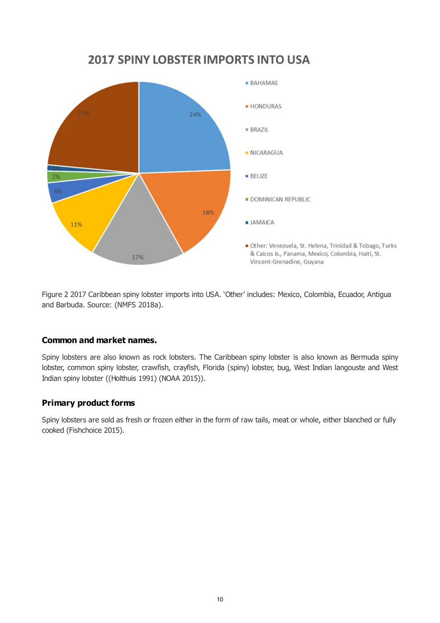

**2017 SPINY LOBSTER IMPORTS INTO USA** 

Figure 2 2017 Caribbean spiny lobster imports into USA. 'Other' includes: Mexico, Colombia, Ecuador, Antigua and Barbuda. Source: (NMFS 2018a).

# **Common and market names.**

Spiny lobsters are also known as rock lobsters. The Caribbean spiny lobster is also known as Bermuda spiny lobster, common spiny lobster, crawfish, crayfish, Florida (spiny) lobster, bug, West Indian langouste and West Indian spiny lobster ((Holthuis 1991) (NOAA 2015)).

# **Primary product forms**

Spiny lobsters are sold as fresh or frozen either in the form of raw tails, meat or whole, either blanched or fully cooked (Fishchoice 2015).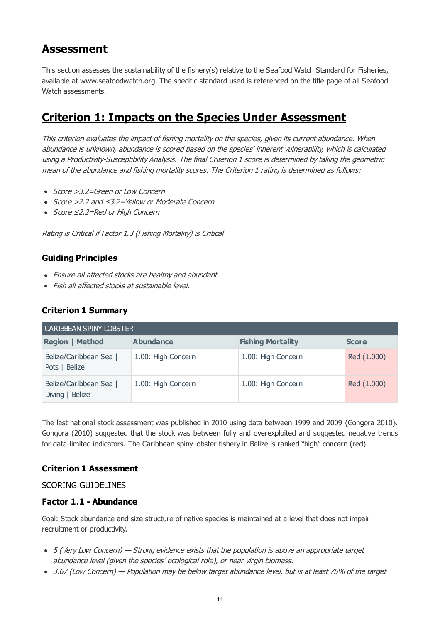# **Assessment**

This section assesses the sustainability of the fishery(s) relative to the Seafood Watch Standard for Fisheries, available at www.seafoodwatch.org. The specific standard used is referenced on the title page of all Seafood Watch assessments.

# **Criterion 1: Impacts on the Species Under Assessment**

This criterion evaluates the impact of fishing mortality on the species, given its current abundance. When abundance is unknown, abundance is scored based on the species' inherent vulnerability, which is calculated using a Productivity-Susceptibility Analysis. The final Criterion 1 score is determined by taking the geometric mean of the abundance and fishing mortality scores. The Criterion 1 rating is determined as follows:

- Score > 3.2=Green or Low Concern
- Score >2.2 and ≤3.2=Yellow or Moderate Concern
- Score ≤2.2=Red or High Concern

Rating is Critical if Factor 1.3 (Fishing Mortality) is Critical

# **Guiding Principles**

- Ensure all affected stocks are healthy and abundant.
- Fish all affected stocks at sustainable level.

# **Criterion 1 Summary**

| <b>CARIBBEAN SPINY LOBSTER</b>            |                    |                          |              |  |  |  |  |  |  |
|-------------------------------------------|--------------------|--------------------------|--------------|--|--|--|--|--|--|
| <b>Region   Method</b>                    | <b>Abundance</b>   | <b>Fishing Mortality</b> | <b>Score</b> |  |  |  |  |  |  |
| Belize/Caribbean Sea  <br>Pots   Belize   | 1.00: High Concern | 1.00: High Concern       | Red (1.000)  |  |  |  |  |  |  |
| Belize/Caribbean Sea  <br>Diving   Belize | 1.00: High Concern | 1.00: High Concern       | Red (1.000)  |  |  |  |  |  |  |

The last national stock assessment was published in 2010 using data between 1999 and 2009 {Gongora 2010}. Gongora (2010) suggested that the stock was between fully and overexploited and suggested negative trends for data-limited indicators. The Caribbean spiny lobster fishery in Belize is ranked "high" concern (red).

# **Criterion 1 Assessment**

# SCORING GUIDELINES

# **Factor 1.1 - Abundance**

Goal: Stock abundance and size structure of native species is maintained at a level that does not impair recruitment or productivity.

- 5 (Very Low Concern) Strong evidence exists that the population is above an appropriate target abundance level (given the species' ecological role), or near virgin biomass.
- 3.67 (Low Concern) Population may be below target abundance level, but is at least 75% of the target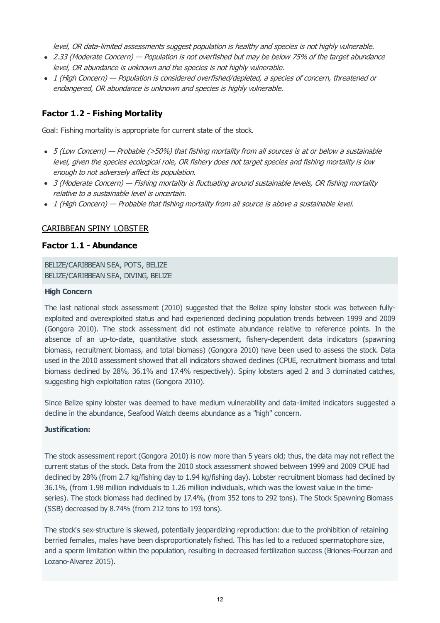level, OR data-limited assessments suggest population is healthy and species is not highly vulnerable.

- <span id="page-11-0"></span>2.33 (Moderate Concern) — Population is not overfished but may be below 75% of the target abundance level, OR abundance is unknown and the species is not highly vulnerable.
- 1 (High Concern) Population is considered overfished/depleted, a species of concern, threatened or endangered, OR abundance is unknown and species is highly vulnerable.

# <span id="page-11-1"></span>**Factor 1.2 - Fishing Mortality**

Goal: Fishing mortality is appropriate for current state of the stock.

- 5 (Low Concern) Probable (>50%) that fishing mortality from all sources is at or below a sustainable level, given the species ecological role, OR fishery does not target species and fishing mortality is low enough to not adversely affect its population.
- 3 (Moderate Concern) Fishing mortality is fluctuating around sustainable levels, OR fishing mortality relative to a sustainable level is uncertain.
- 1 (High Concern) Probable that fishing mortality from all source is above a sustainable level.

## CARIBBEAN SPINY LOBSTER

#### **Factor 1.1 - Abundance**

BELIZE/CARIBBEAN SEA, POTS, BELIZE BELIZE/CARIBBEAN SEA, DIVING, BELIZE

#### **High Concern**

The last national stock assessment (2010) suggested that the Belize spiny lobster stock was between fullyexploited and overexploited status and had experienced declining population trends between 1999 and 2009 (Gongora 2010). The stock assessment did not estimate abundance relative to reference points. In the absence of an up-to-date, quantitative stock assessment, fishery-dependent data indicators (spawning biomass, recruitment biomass, and total biomass) (Gongora 2010) have been used to assess the stock. Data used in the 2010 assessment showed that all indicators showed declines (CPUE, recruitment biomass and total biomass declined by 28%, 36.1% and 17.4% respectively). Spiny lobsters aged 2 and 3 dominated catches, suggesting high exploitation rates (Gongora 2010).

Since Belize spiny lobster was deemed to have medium vulnerability and data-limited indicators suggested a decline in the abundance, Seafood Watch deems abundance as a "high" concern.

#### **Justification:**

The stock assessment report (Gongora 2010) is now more than 5 years old; thus, the data may not reflect the current status of the stock. Data from the 2010 stock assessment showed between 1999 and 2009 CPUE had declined by 28% (from 2.7 kg/fishing day to 1.94 kg/fishing day). Lobster recruitment biomass had declined by 36.1%, (from 1.98 million individuals to 1.26 million individuals, which was the lowest value in the timeseries). The stock biomass had declined by 17.4%, (from 352 tons to 292 tons). The Stock Spawning Biomass (SSB) decreased by 8.74% (from 212 tons to 193 tons).

The stock's sex-structure is skewed, potentially jeopardizing reproduction: due to the prohibition of retaining berried females, males have been disproportionately fished. This has led to a reduced spermatophore size, and a sperm limitation within the population, resulting in decreased fertilization success (Briones-Fourzan and Lozano-Alvarez 2015).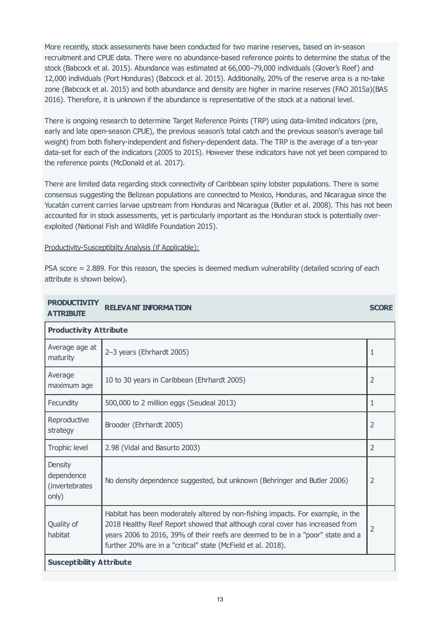More recently, stock assessments have been conducted for two marine reserves, based on in-season recruitment and CPUE data. There were no abundance-based reference points to determine the status of the stock (Babcock et al. 2015). Abundance was estimated at 66,000–79,000 individuals (Glover's Reef) and 12,000 individuals (Port Honduras) (Babcock et al. 2015). Additionally, 20% of the reserve area is a no-take zone (Babcock et al. 2015) and both abundance and density are higher in marine reserves (FAO 2015a)(BAS 2016). Therefore, it is unknown if the abundance is representative of the stock at a national level.

There is ongoing research to determine Target Reference Points (TRP) using data-limited indicators (pre, early and late open-season CPUE), the previous season's total catch and the previous season's average tail weight) from both fishery-independent and fishery-dependent data. The TRP is the average of a ten-year data-set for each of the indicators (2005 to 2015). However these indicators have not yet been compared to the reference points (McDonald et al. 2017).

There are limited data regarding stock connectivity of Caribbean spiny lobster populations. There is some consensus suggesting the Belizean populations are connected to Mexico, Honduras, and Nicaragua since the Yucatán current carries larvae upstream from Honduras and Nicaragua (Butler et al. 2008). This has not been accounted for in stock assessments, yet is particularly important as the Honduran stock is potentially overexploited (National Fish and Wildlife Foundation 2015).

Productivity-Susceptibiity Analysis (if Applicable):

PSA score = 2.889. For this reason, the species is deemed medium vulnerability (detailed scoring of each attribute is shown below).

| <b>PRODUCTIVITY</b><br><b>ATTRIBUTE</b>                 | <b>RELEVANT INFORMATION</b>                                                                                                                                                                                                                                                                                        | <b>SCORE</b>   |  |  |  |  |
|---------------------------------------------------------|--------------------------------------------------------------------------------------------------------------------------------------------------------------------------------------------------------------------------------------------------------------------------------------------------------------------|----------------|--|--|--|--|
| <b>Productivity Attribute</b>                           |                                                                                                                                                                                                                                                                                                                    |                |  |  |  |  |
| Average age at<br>maturity                              | 2-3 years (Ehrhardt 2005)                                                                                                                                                                                                                                                                                          | 1              |  |  |  |  |
| Average<br>maximum age                                  | 10 to 30 years in Caribbean (Ehrhardt 2005)                                                                                                                                                                                                                                                                        | $\overline{2}$ |  |  |  |  |
| Fecundity                                               | 500,000 to 2 million eggs (Seudeal 2013)                                                                                                                                                                                                                                                                           | 1              |  |  |  |  |
| Reproductive<br>strategy                                | Brooder (Ehrhardt 2005)                                                                                                                                                                                                                                                                                            | 2              |  |  |  |  |
| Trophic level                                           | 2.98 (Vidal and Basurto 2003)                                                                                                                                                                                                                                                                                      | $\overline{2}$ |  |  |  |  |
| <b>Density</b><br>dependence<br>(invertebrates<br>only) | No density dependence suggested, but unknown (Behringer and Butler 2006)                                                                                                                                                                                                                                           | $\overline{2}$ |  |  |  |  |
| Quality of<br>habitat                                   | Habitat has been moderately altered by non-fishing impacts. For example, in the<br>2018 Healthy Reef Report showed that although coral cover has increased from<br>years 2006 to 2016, 39% of their reefs are deemed to be in a "poor" state and a<br>further 20% are in a "critical" state (McField et al. 2018). | $\overline{2}$ |  |  |  |  |
| <b>Susceptibility Attribute</b>                         |                                                                                                                                                                                                                                                                                                                    |                |  |  |  |  |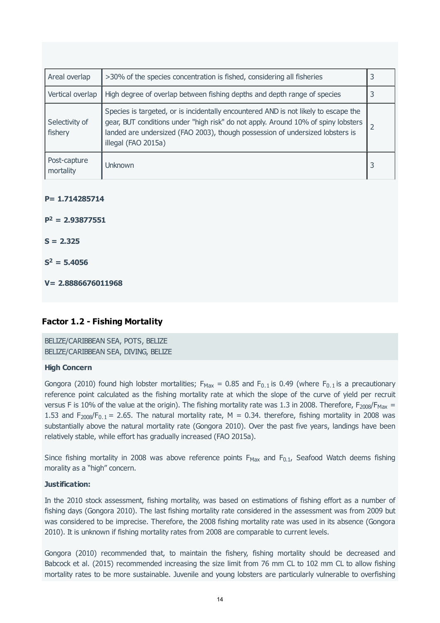| Areal overlap             | >30% of the species concentration is fished, considering all fisheries                                                                                                                                                                                                           | 3 |
|---------------------------|----------------------------------------------------------------------------------------------------------------------------------------------------------------------------------------------------------------------------------------------------------------------------------|---|
| Vertical overlap          | High degree of overlap between fishing depths and depth range of species                                                                                                                                                                                                         | 3 |
| Selectivity of<br>fishery | Species is targeted, or is incidentally encountered AND is not likely to escape the<br>gear, BUT conditions under "high risk" do not apply. Around 10% of spiny lobsters<br>landed are undersized (FAO 2003), though possession of undersized lobsters is<br>illegal (FAO 2015a) |   |
| Post-capture<br>mortality | Unknown                                                                                                                                                                                                                                                                          |   |

#### **P= 1.714285714**

 $P^2 = 2.93877551$ 

**S = 2.325**

 $S^2 = 5.4056$ 

**V= 2.8886676011968**

# **Factor 1.2 - Fishing Mortality**

BELIZE/CARIBBEAN SEA, POTS, BELIZE BELIZE/CARIBBEAN SEA, DIVING, BELIZE

#### **High Concern**

Gongora (2010) found high lobster mortalities;  $F_{\text{Max}} = 0.85$  and  $F_{0.1}$  is 0.49 (where  $F_{0.1}$  is a precautionary reference point calculated as the fishing mortality rate at which the slope of the curve of yield per recruit versus F is 10% of the value at the origin). The fishing mortality rate was 1.3 in 2008. Therefore,  $F_{2008}/F_{\text{Max}} =$ 1.53 and  $F_{2008}/F_{0.1} = 2.65$ . The natural mortality rate, M = 0.34. therefore, fishing mortality in 2008 was substantially above the natural mortality rate (Gongora 2010). Over the past five years, landings have been relatively stable, while effort has gradually increased (FAO 2015a).

Since fishing mortality in 2008 was above reference points  $F_{\text{Max}}$  and  $F_{0.1}$ , Seafood Watch deems fishing morality as a "high" concern.

#### **Justification:**

In the 2010 stock assessment, fishing mortality, was based on estimations of fishing effort as a number of fishing days (Gongora 2010). The last fishing mortality rate considered in the assessment was from 2009 but was considered to be imprecise. Therefore, the 2008 fishing mortality rate was used in its absence (Gongora 2010). It is unknown if fishing mortality rates from 2008 are comparable to current levels.

Gongora (2010) recommended that, to maintain the fishery, fishing mortality should be decreased and Babcock et al. (2015) recommended increasing the size limit from 76 mm CL to 102 mm CL to allow fishing mortality rates to be more sustainable. Juvenile and young lobsters are particularly vulnerable to overfishing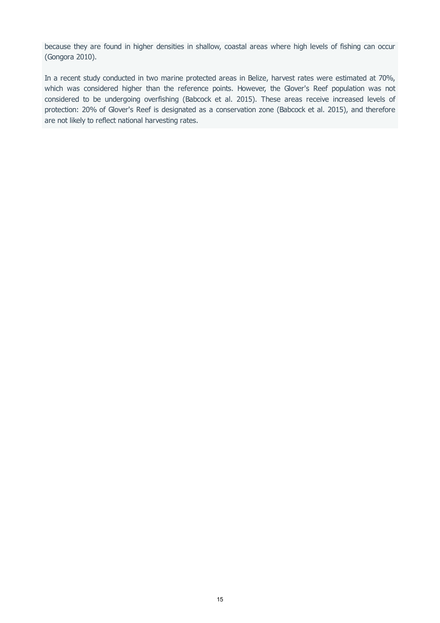because they are found in higher densities in shallow, coastal areas where high levels of fishing can occur (Gongora 2010).

In a recent study conducted in two marine protected areas in Belize, harvest rates were estimated at 70%, which was considered higher than the reference points. However, the Glover's Reef population was not considered to be undergoing overfishing (Babcock et al. 2015). These areas receive increased levels of protection: 20% of Glover's Reef is designated as a conservation zone (Babcock et al. 2015), and therefore are not likely to reflect national harvesting rates.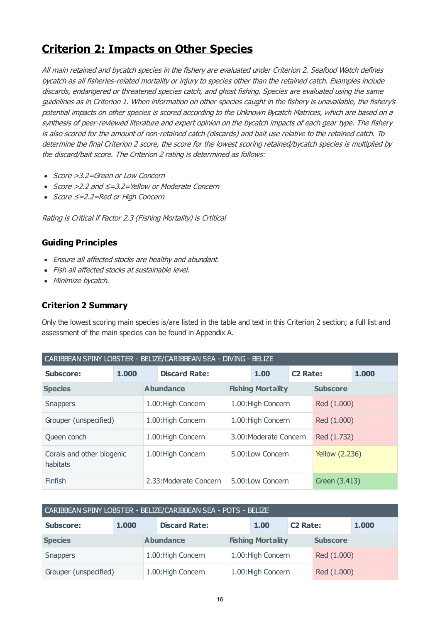# **Criterion 2: Impacts on Other Species**

All main retained and bycatch species in the fishery are evaluated under Criterion 2. Seafood Watch defines bycatch as all fisheries-related mortality or injury to species other than the retained catch. Examples include discards, endangered or threatened species catch, and ghost fishing. Species are evaluated using the same guidelines as in Criterion 1. When information on other species caught in the fishery is unavailable, the fishery's potential impacts on other species is scored according to the Unknown Bycatch Matrices, which are based on a synthesis of peer-reviewed literature and expert opinion on the bycatch impacts of each gear type. The fishery is also scored for the amount of non-retained catch (discards) and bait use relative to the retained catch. To determine the final Criterion 2 score, the score for the lowest scoring retained/bycatch species is multiplied by the discard/bait score. The Criterion 2 rating is determined as follows:

- Score > 3.2=Green or Low Concern
- Score >2.2 and ≤=3.2=Yellow or Moderate Concern
- Score ≤=2.2=Red or High Concern

Rating is Critical if Factor 2.3 (Fishing Mortality) is Crtitical

# **Guiding Principles**

- Ensure all affected stocks are healthy and abundant.
- Fish all affected stocks at sustainable level.
- Minimize bycatch.

# **Criterion 2 Summary**

Only the lowest scoring main species is/are listed in the table and text in this Criterion 2 section; a full list and assessment of the main species can be found in Appendix A.

| CARIBBEAN SPINY LOBSTER - BELIZE/CARIBBEAN SEA - DIVING - BELIZE |  |  |                              |                        |                          |                       |                 |  |
|------------------------------------------------------------------|--|--|------------------------------|------------------------|--------------------------|-----------------------|-----------------|--|
| <b>Subscore:</b><br>1,000                                        |  |  | <b>Discard Rate:</b><br>1.00 |                        | <b>C2 Rate:</b>          |                       | 1.000           |  |
| <b>Species</b>                                                   |  |  | <b>Abundance</b>             |                        | <b>Fishing Mortality</b> |                       | <b>Subscore</b> |  |
| <b>Snappers</b>                                                  |  |  | 1.00: High Concern           | 1.00: High Concern     |                          | Red (1.000)           |                 |  |
| Grouper (unspecified)                                            |  |  | 1.00: High Concern           | 1.00: High Concern     |                          | Red (1.000)           |                 |  |
| Queen conch                                                      |  |  | 1.00: High Concern           | 3.00: Moderate Concern |                          | Red (1.732)           |                 |  |
| Corals and other biogenic<br>habitats                            |  |  | 1.00: High Concern           | 5.00:Low Concern       |                          | <b>Yellow (2.236)</b> |                 |  |
| Finfish                                                          |  |  | 2.33: Moderate Concern       |                        | 5.00:Low Concern         |                       | Green (3.413)   |  |

| CARIBBEAN SPINY LOBSTER - BELIZE/CARIBBEAN SEA - POTS - BELIZE |       |                    |                      |                          |                    |                 |             |       |
|----------------------------------------------------------------|-------|--------------------|----------------------|--------------------------|--------------------|-----------------|-------------|-------|
| <b>Subscore:</b>                                               | 1.000 |                    | <b>Discard Rate:</b> |                          | 1.00               | <b>C2 Rate:</b> |             | 1.000 |
| <b>Species</b>                                                 |       | <b>Abundance</b>   |                      | <b>Fishing Mortality</b> |                    | <b>Subscore</b> |             |       |
| <b>Snappers</b>                                                |       | 1.00: High Concern |                      | 1.00: High Concern       |                    | Red (1.000)     |             |       |
| Grouper (unspecified)                                          |       |                    | 1.00: High Concern   |                          | 1.00: High Concern |                 | Red (1.000) |       |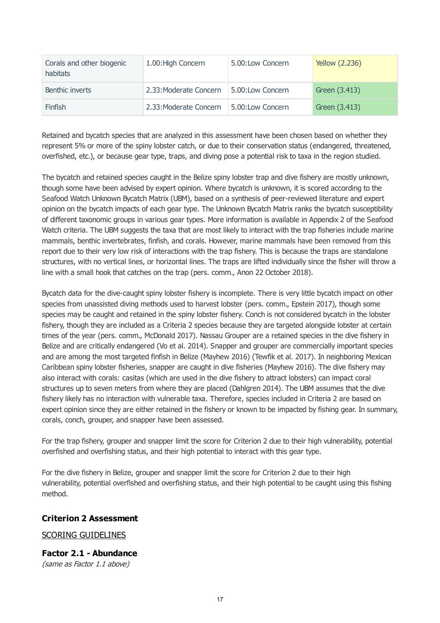<span id="page-16-0"></span>

| Corals and other biogenic<br>habitats | 1.00: High Concern     | 5.00:Low Concern | <b>Yellow (2.236)</b> |
|---------------------------------------|------------------------|------------------|-----------------------|
| Benthic inverts                       | 2.33: Moderate Concern | 5.00:Low Concern | Green (3.413)         |
| <b>Finfish</b>                        | 2.33: Moderate Concern | 5.00:Low Concern | Green (3.413)         |

Retained and bycatch species that are analyzed in this assessment have been chosen based on whether they represent 5% or more of the spiny lobster catch, or due to their conservation status (endangered, threatened, overfished, etc.), or because gear type, traps, and diving pose a potential risk to taxa in the region studied.

The bycatch and retained species caught in the Belize spiny lobster trap and dive fishery are mostly unknown, though some have been advised by expert opinion. Where bycatch is unknown, it is scored according to the Seafood Watch Unknown Bycatch Matrix (UBM), based on a synthesis of peer-reviewed literature and expert opinion on the bycatch impacts of each gear type. The Unknown Bycatch Matrix ranks the bycatch susceptibility of different taxonomic groups in various gear types. More information is available in Appendix 2 of the Seafood Watch criteria. The UBM suggests the taxa that are most likely to interact with the trap fisheries include marine mammals, benthic invertebrates, finfish, and corals. However, marine mammals have been removed from this report due to their very low risk of interactions with the trap fishery. This is because the traps are standalone structures, with no vertical lines, or horizontal lines. The traps are lifted individually since the fisher will throw a line with a small hook that catches on the trap (pers. comm., Anon 22 October 2018).

Bycatch data for the dive-caught spiny lobster fishery is incomplete. There is very little bycatch impact on other species from unassisted diving methods used to harvest lobster (pers. comm., Epstein 2017), though some species may be caught and retained in the spiny lobster fishery. Conch is not considered bycatch in the lobster fishery, though they are included as a Criteria 2 species because they are targeted alongside lobster at certain times of the year (pers. comm., McDonald 2017). Nassau Grouper are a retained species in the dive fishery in Belize and are critically endangered (Vo et al. 2014). Snapper and grouper are commercially important species and are among the most targeted finfish in Belize (Mayhew 2016) (Tewfik et al. 2017). In neighboring Mexican Caribbean spiny lobster fisheries, snapper are caught in dive fisheries (Mayhew 2016). The dive fishery may also interact with corals: casitas (which are used in the dive fishery to attract lobsters) can impact coral structures up to seven meters from where they are placed (Dahlgren 2014). The UBM assumes that the dive fishery likely has no interaction with vulnerable taxa. Therefore, species included in Criteria 2 are based on expert opinion since they are either retained in the fishery or known to be impacted by fishing gear. In summary, corals, conch, grouper, and snapper have been assessed.

For the trap fishery, grouper and snapper limit the score for Criterion 2 due to their high vulnerability, potential overfished and overfishing status, and their high potential to interact with this gear type.

For the dive fishery in Belize, grouper and snapper limit the score for Criterion 2 due to their high vulnerability, potential overfished and overfishing status, and their high potential to be caught using this fishing method.

# **Criterion 2 Assessment**

# SCORING GUIDELINES

**Factor 2.1 - Abundance** (same as Factor 1.1 above)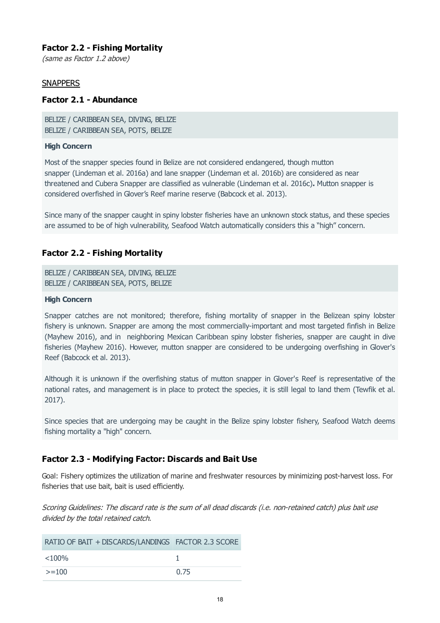# **Factor 2.2 - Fishing Mortality**

(same as Factor 1.2 above)

# **SNAPPERS**

## **Factor 2.1 - Abundance**

BELIZE / CARIBBEAN SEA, DIVING, BELIZE BELIZE / CARIBBEAN SEA, POTS, BELIZE

#### **High Concern**

Most of the snapper species found in Belize are not considered endangered, though mutton snapper (Lindeman et al. 2016a) and lane snapper (Lindeman et al. 2016b) are considered as near threatened and Cubera Snapper are classified as vulnerable (Lindeman et al. 2016c)**.** Mutton snapper is considered overfished in Glover's Reef marine reserve (Babcock et al. 2013).

Since many of the snapper caught in spiny lobster fisheries have an unknown stock status, and these species are assumed to be of high vulnerability, Seafood Watch automatically considers this a "high" concern.

# **Factor 2.2 - Fishing Mortality**

BELIZE / CARIBBEAN SEA, DIVING, BELIZE BELIZE / CARIBBEAN SEA, POTS, BELIZE

#### **High Concern**

Snapper catches are not monitored; therefore, fishing mortality of snapper in the Belizean spiny lobster fishery is unknown. Snapper are among the most commercially-important and most targeted finfish in Belize (Mayhew 2016), and in neighboring Mexican Caribbean spiny lobster fisheries, snapper are caught in dive fisheries (Mayhew 2016). However, mutton snapper are considered to be undergoing overfishing in Glover's Reef (Babcock et al. 2013).

Although it is unknown if the overfishing status of mutton snapper in Glover's Reef is representative of the national rates, and management is in place to protect the species, it is still legal to land them (Tewfik et al. 2017).

Since species that are undergoing may be caught in the Belize spiny lobster fishery, Seafood Watch deems fishing mortality a "high" concern.

# **Factor 2.3 - Modifying Factor: Discards and Bait Use**

Goal: Fishery optimizes the utilization of marine and freshwater resources by minimizing post-harvest loss. For fisheries that use bait, bait is used efficiently.

Scoring Guidelines: The discard rate is the sum of all dead discards (i.e. non-retained catch) plus bait use divided by the total retained catch.

| RATIO OF BAIT + DISCARDS/LANDINGS FACTOR 2.3 SCORE |      |
|----------------------------------------------------|------|
| $< 100\%$                                          |      |
| $>=100$                                            | 0.75 |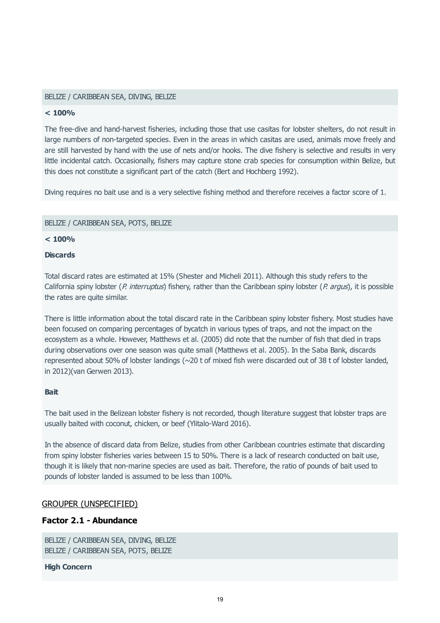#### BELIZE / CARIBBEAN SEA, DIVING, BELIZE

#### **< 100%**

The free-dive and hand-harvest fisheries, including those that use casitas for lobster shelters, do not result in large numbers of non-targeted species. Even in the areas in which casitas are used, animals move freely and are still harvested by hand with the use of nets and/or hooks. The dive fishery is selective and results in very little incidental catch. Occasionally, fishers may capture stone crab species for consumption within Belize, but this does not constitute a significant part of the catch (Bert and Hochberg 1992).

Diving requires no bait use and is a very selective fishing method and therefore receives a factor score of 1.

#### BELIZE / CARIBBEAN SEA, POTS, BELIZE

#### **< 100%**

#### **Discards**

Total discard rates are estimated at 15% (Shester and Micheli 2011). Although this study refers to the California spiny lobster (P. interruptus) fishery, rather than the Caribbean spiny lobster (P. argus), it is possible the rates are quite similar.

There is little information about the total discard rate in the Caribbean spiny lobster fishery. Most studies have been focused on comparing percentages of bycatch in various types of traps, and not the impact on the ecosystem as a whole. However, Matthews et al. (2005) did note that the number of fish that died in traps during observations over one season was quite small (Matthews et al. 2005). In the Saba Bank, discards represented about 50% of lobster landings (~20 t of mixed fish were discarded out of 38 t of lobster landed, in 2012)(van Gerwen 2013).

#### **Bait**

The bait used in the Belizean lobster fishery is not recorded, though literature suggest that lobster traps are usually baited with coconut, chicken, or beef (Ylitalo-Ward 2016).

In the absence of discard data from Belize, studies from other Caribbean countries estimate that discarding from spiny lobster fisheries varies between 15 to 50%. There is a lack of research conducted on bait use, though it is likely that non-marine species are used as bait. Therefore, the ratio of pounds of bait used to pounds of lobster landed is assumed to be less than 100%.

#### GROUPER (UNSPECIFIED)

# **Factor 2.1 - Abundance**

BELIZE / CARIBBEAN SEA, DIVING, BELIZE BELIZE / CARIBBEAN SEA, POTS, BELIZE

#### **High Concern**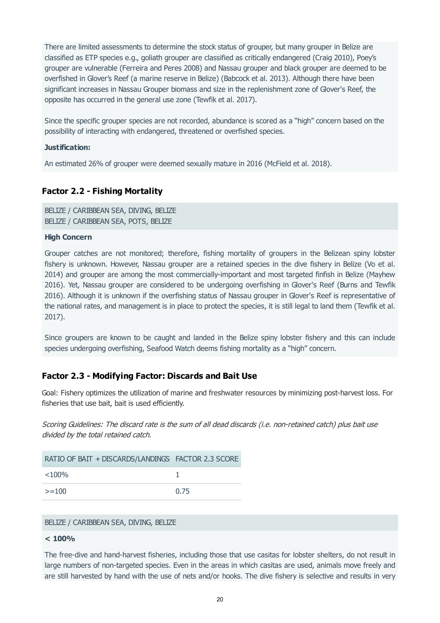There are limited assessments to determine the stock status of grouper, but many grouper in Belize are classified as ETP species e.g., goliath grouper are classified as critically endangered (Craig 2010), Poey's grouper are vulnerable (Ferreira and Peres 2008) and Nassau grouper and black grouper are deemed to be overfished in Glover's Reef (a marine reserve in Belize) (Babcock et al. 2013). Although there have been significant increases in Nassau Grouper biomass and size in the replenishment zone of Glover's Reef, the opposite has occurred in the general use zone (Tewfik et al. 2017).

Since the specific grouper species are not recorded, abundance is scored as a "high" concern based on the possibility of interacting with endangered, threatened or overfished species.

#### **Justification:**

An estimated 26% of grouper were deemed sexually mature in 2016 (McField et al. 2018).

# **Factor 2.2 - Fishing Mortality**

BELIZE / CARIBBEAN SEA, DIVING, BELIZE BELIZE / CARIBBEAN SEA, POTS, BELIZE

#### **High Concern**

Grouper catches are not monitored; therefore, fishing mortality of groupers in the Belizean spiny lobster fishery is unknown. However, Nassau grouper are a retained species in the dive fishery in Belize (Vo et al. 2014) and grouper are among the most commercially-important and most targeted finfish in Belize (Mayhew 2016). Yet, Nassau grouper are considered to be undergoing overfishing in Glover's Reef (Burns and Tewfik 2016). Although it is unknown if the overfishing status of Nassau grouper in Glover's Reef is representative of the national rates, and management is in place to protect the species, it is still legal to land them (Tewfik et al. 2017).

Since groupers are known to be caught and landed in the Belize spiny lobster fishery and this can include species undergoing overfishing, Seafood Watch deems fishing mortality as a "high" concern.

# **Factor 2.3 - Modifying Factor: Discards and Bait Use**

Goal: Fishery optimizes the utilization of marine and freshwater resources by minimizing post-harvest loss. For fisheries that use bait, bait is used efficiently.

Scoring Guidelines: The discard rate is the sum of all dead discards (i.e. non-retained catch) plus bait use divided by the total retained catch.

| RATIO OF BAIT + DISCARDS/LANDINGS FACTOR 2.3 SCORE |      |
|----------------------------------------------------|------|
| $<$ 100%                                           |      |
| $>=100$                                            | 0.75 |

#### BELIZE / CARIBBEAN SEA, DIVING, BELIZE

#### **< 100%**

The free-dive and hand-harvest fisheries, including those that use casitas for lobster shelters, do not result in large numbers of non-targeted species. Even in the areas in which casitas are used, animals move freely and are still harvested by hand with the use of nets and/or hooks. The dive fishery is selective and results in very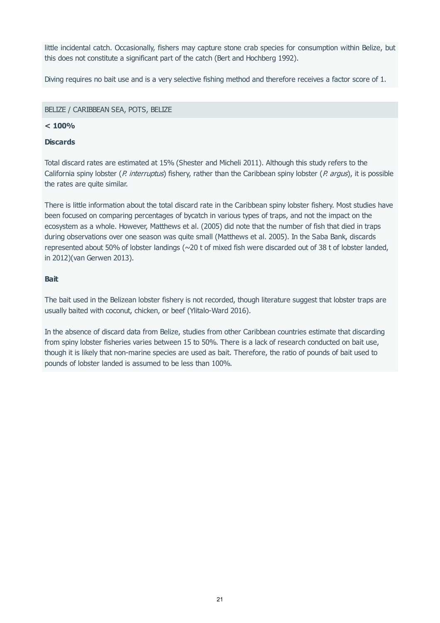little incidental catch. Occasionally, fishers may capture stone crab species for consumption within Belize, but this does not constitute a significant part of the catch (Bert and Hochberg 1992).

Diving requires no bait use and is a very selective fishing method and therefore receives a factor score of 1.

#### BELIZE / CARIBBEAN SEA, POTS, BELIZE

## **< 100%**

## **Discards**

Total discard rates are estimated at 15% (Shester and Micheli 2011). Although this study refers to the California spiny lobster (P. interruptus) fishery, rather than the Caribbean spiny lobster (P. argus), it is possible the rates are quite similar.

There is little information about the total discard rate in the Caribbean spiny lobster fishery. Most studies have been focused on comparing percentages of bycatch in various types of traps, and not the impact on the ecosystem as a whole. However, Matthews et al. (2005) did note that the number of fish that died in traps during observations over one season was quite small (Matthews et al. 2005). In the Saba Bank, discards represented about 50% of lobster landings (~20 t of mixed fish were discarded out of 38 t of lobster landed, in 2012)(van Gerwen 2013).

## **Bait**

The bait used in the Belizean lobster fishery is not recorded, though literature suggest that lobster traps are usually baited with coconut, chicken, or beef (Ylitalo-Ward 2016).

In the absence of discard data from Belize, studies from other Caribbean countries estimate that discarding from spiny lobster fisheries varies between 15 to 50%. There is a lack of research conducted on bait use, though it is likely that non-marine species are used as bait. Therefore, the ratio of pounds of bait used to pounds of lobster landed is assumed to be less than 100%.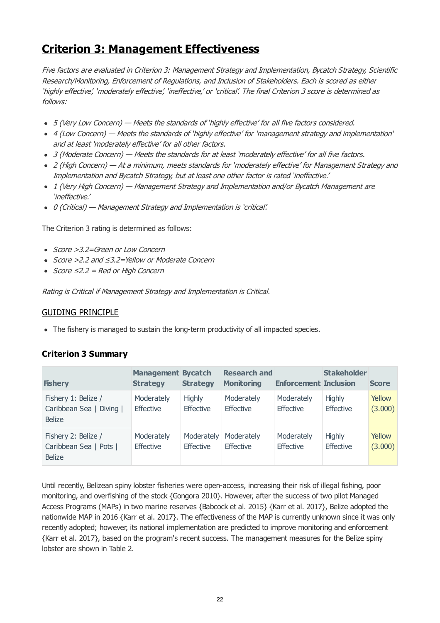# **Criterion 3: Management Effectiveness**

Five factors are evaluated in Criterion 3: Management Strategy and Implementation, Bycatch Strategy, Scientific Research/Monitoring, Enforcement of Regulations, and Inclusion of Stakeholders. Each is scored as either 'highly effective', 'moderately effective', 'ineffective,' or 'critical'. The final Criterion 3 score is determined as follows:

- 5 (Very Low Concern) Meets the standards of 'highly effective' for all five factors considered.
- 4 (Low Concern) Meets the standards of 'highly effective' for 'management strategy and implementation' and at least 'moderately effective' for all other factors.
- 3 (Moderate Concern) Meets the standards for at least 'moderately effective' for all five factors.
- 2 (High Concern) At a minimum, meets standards for 'moderately effective' for Management Strategy and Implementation and Bycatch Strategy, but at least one other factor is rated 'ineffective.'
- 1 (Very High Concern) Management Strategy and Implementation and/or Bycatch Management are 'ineffective.'
- 0 (Critical) Management Strategy and Implementation is 'critical'.

The Criterion 3 rating is determined as follows:

- Score >3.2=Green or Low Concern
- Score >2.2 and ≤3.2=Yellow or Moderate Concern
- $Score ≤2.2 = Red or High Concern$

Rating is Critical if Management Strategy and Implementation is Critical.

# GUIDING PRINCIPLE

• The fishery is managed to sustain the long-term productivity of all impacted species.

# **Criterion 3 Summary**

| <b>Fishery</b>                                                   | <b>Management Bycatch</b><br><b>Strategy</b> | <b>Strategy</b>                   | <b>Research and</b><br><b>Monitoring</b> | <b>Enforcement Inclusion</b>   | <b>Stakeholder</b>                | <b>Score</b>      |
|------------------------------------------------------------------|----------------------------------------------|-----------------------------------|------------------------------------------|--------------------------------|-----------------------------------|-------------------|
| Fishery 1: Belize /<br>Caribbean Sea   Diving  <br><b>Belize</b> | Moderately<br><b>Effective</b>               | <b>Highly</b><br><b>Effective</b> | Moderately<br><b>Effective</b>           | Moderately<br>Effective        | <b>Highly</b><br><b>Effective</b> | Yellow<br>(3.000) |
| Fishery 2: Belize /<br>Caribbean Sea   Pots  <br><b>Belize</b>   | Moderately<br><b>Effective</b>               | Moderately<br><b>Effective</b>    | Moderately<br><b>Effective</b>           | Moderately<br><b>Effective</b> | <b>Highly</b><br><b>Effective</b> | Yellow<br>(3.000) |

Until recently, Belizean spiny lobster fisheries were open-access, increasing their risk of illegal fishing, poor monitoring, and overfishing of the stock {Gongora 2010}. However, after the success of two pilot Managed Access Programs (MAPs) in two marine reserves {Babcock et al. 2015} {Karr et al. 2017}, Belize adopted the nationwide MAP in 2016 {Karr et al. 2017}. The effectiveness of the MAP is currently unknown since it was only recently adopted; however, its national implementation are predicted to improve monitoring and enforcement {Karr et al. 2017}, based on the program's recent success. The management measures for the Belize spiny lobster are shown in Table 2.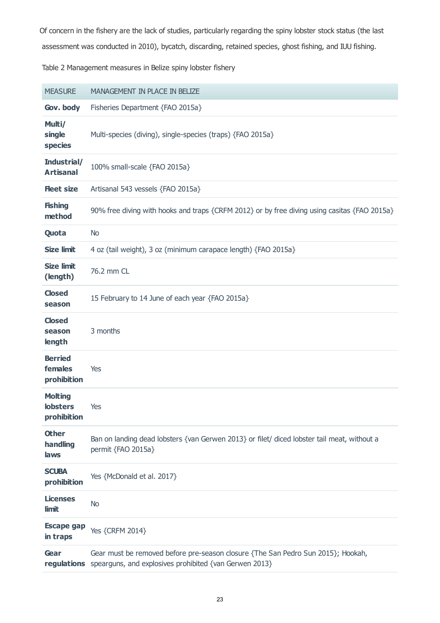<span id="page-22-0"></span>assessment was conducted in 2010), bycatch, discarding, retained species, ghost fishing, and IUU fishing. Of concern in the fishery are the lack of studies, particularly regarding the spiny lobster stock status (the last

Table 2 Management measures in Belize spiny lobster fishery

| <b>MEASURE</b>                                   | MANAGEMENT IN PLACE IN BELIZE                                                                                                                          |
|--------------------------------------------------|--------------------------------------------------------------------------------------------------------------------------------------------------------|
| Gov. body                                        | Fisheries Department {FAO 2015a}                                                                                                                       |
| Multi/<br>single<br><b>species</b>               | Multi-species (diving), single-species (traps) {FAO 2015a}                                                                                             |
| Industrial/<br><b>Artisanal</b>                  | 100% small-scale {FAO 2015a}                                                                                                                           |
| <b>Heet size</b>                                 | Artisanal 543 vessels {FAO 2015a}                                                                                                                      |
| <b>Fishing</b><br>method                         | 90% free diving with hooks and traps {CRFM 2012} or by free diving using casitas {FAO 2015a}                                                           |
| Quota                                            | <b>No</b>                                                                                                                                              |
| <b>Size limit</b>                                | 4 oz (tail weight), 3 oz (minimum carapace length) {FAO 2015a}                                                                                         |
| <b>Size limit</b><br>(length)                    | 76.2 mm CL                                                                                                                                             |
| <b>Closed</b><br>season                          | 15 February to 14 June of each year {FAO 2015a}                                                                                                        |
| <b>Closed</b><br>season<br>length                | 3 months                                                                                                                                               |
| <b>Berried</b><br>females<br>prohibition         | Yes                                                                                                                                                    |
| <b>Molting</b><br><b>lobsters</b><br>prohibition | Yes                                                                                                                                                    |
| <b>Other</b><br>handling<br>laws                 | Ban on landing dead lobsters {van Gerwen 2013} or filet/ diced lobster tail meat, without a<br>permit {FAO 2015a}                                      |
| <b>SCUBA</b><br>prohibition                      | Yes {McDonald et al. 2017}                                                                                                                             |
| <b>Licenses</b><br>limit                         | <b>No</b>                                                                                                                                              |
| <b>Escape gap</b><br>in traps                    | Yes {CRFM 2014}                                                                                                                                        |
| Gear                                             | Gear must be removed before pre-season closure {The San Pedro Sun 2015}; Hookah,<br>regulations spearguns, and explosives prohibited {van Gerwen 2013} |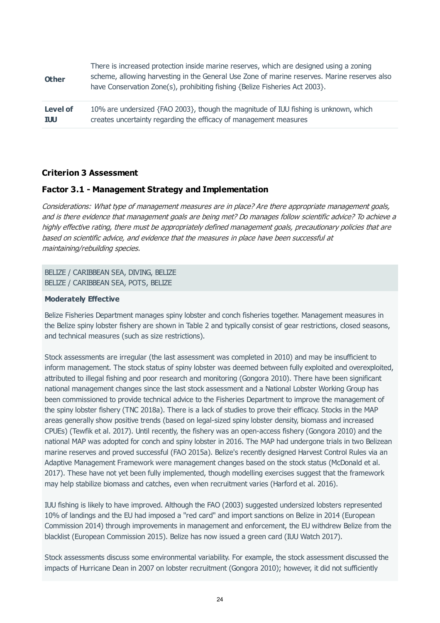| <b>Other</b>    | There is increased protection inside marine reserves, which are designed using a zoning<br>scheme, allowing harvesting in the General Use Zone of marine reserves. Marine reserves also<br>have Conservation Zone(s), prohibiting fishing {Belize Fisheries Act 2003}. |
|-----------------|------------------------------------------------------------------------------------------------------------------------------------------------------------------------------------------------------------------------------------------------------------------------|
| <b>Level of</b> | 10% are undersized {FAO 2003}, though the magnitude of IUU fishing is unknown, which                                                                                                                                                                                   |
| <b>IUU</b>      | creates uncertainty regarding the efficacy of management measures                                                                                                                                                                                                      |

## **Criterion 3 Assessment**

#### **Factor 3.1 - Management Strategy and Implementation**

Considerations: What type of management measures are in place? Are there appropriate management goals, and is there evidence that management goals are being met? Do manages follow scientific advice? To achieve a highly effective rating, there must be appropriately defined management goals, precautionary policies that are based on scientific advice, and evidence that the measures in place have been successful at maintaining/rebuilding species.

BELIZE / CARIBBEAN SEA, DIVING, BELIZE BELIZE / CARIBBEAN SEA, POTS, BELIZE

#### **Moderately Effective**

Belize Fisheries Department manages spiny lobster and conch fisheries together. Management measures in the Belize spiny lobster fishery are shown in Table 2 and typically consist of gear restrictions, closed seasons, and technical measures (such as size restrictions).

Stock assessments are irregular (the last assessment was completed in 2010) and may be insufficient to inform management. The stock status of spiny lobster was deemed between fully exploited and overexploited, attributed to illegal fishing and poor research and monitoring (Gongora 2010). There have been significant national management changes since the last stock assessment and a National Lobster Working Group has been commissioned to provide technical advice to the Fisheries Department to improve the management of the spiny lobster fishery (TNC 2018a). There is a lack of studies to prove their efficacy. Stocks in the MAP areas generally show positive trends (based on legal-sized spiny lobster density, biomass and increased CPUEs) (Tewfik et al. 2017). Until recently, the fishery was an open-access fishery (Gongora 2010) and the national MAP was adopted for conch and spiny lobster in 2016. The MAP had undergone trials in two Belizean marine reserves and proved successful (FAO 2015a). Belize's recently designed Harvest Control Rules via an Adaptive Management Framework were management changes based on the stock status (McDonald et al. 2017). These have not yet been fully implemented, though modelling exercises suggest that the framework may help stabilize biomass and catches, even when recruitment varies (Harford et al. 2016).

IUU fishing is likely to have improved. Although the FAO (2003) suggested undersized lobsters represented 10% of landings and the EU had imposed a "red card" and import sanctions on Belize in 2014 (European Commission 2014) through improvements in management and enforcement, the EU withdrew Belize from the blacklist (European Commission 2015). Belize has now issued a green card (IUU Watch 2017).

Stock assessments discuss some environmental variability. For example, the stock assessment discussed the impacts of Hurricane Dean in 2007 on lobster recruitment (Gongora 2010); however, it did not sufficiently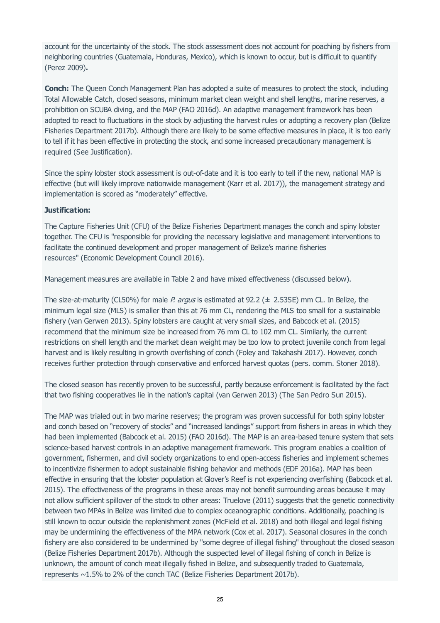account for the uncertainty of the stock. The stock assessment does not account for poaching by fishers from neighboring countries (Guatemala, Honduras, Mexico), which is known to occur, but is difficult to quantify (Perez 2009)**.**

**Conch:** The Queen Conch Management Plan has adopted a suite of measures to protect the stock, including Total Allowable Catch, closed seasons, minimum market clean weight and shell lengths, marine reserves, a prohibition on SCUBA diving, and the MAP (FAO 2016d). An adaptive management framework has been adopted to react to fluctuations in the stock by adjusting the harvest rules or adopting a recovery plan (Belize Fisheries Department 2017b). Although there are likely to be some effective measures in place, it is too early to tell if it has been effective in protecting the stock, and some increased precautionary management is required (See Justification).

Since the spiny lobster stock assessment is out-of-date and it is too early to tell if the new, national MAP is effective (but will likely improve nationwide management (Karr et al. 2017)), the management strategy and implementation is scored as "moderately" effective.

## **Justification:**

The Capture Fisheries Unit (CFU) of the Belize Fisheries Department manages the conch and spiny lobster together. The CFU is "responsible for providing the necessary legislative and management interventions to facilitate the continued development and proper management of Belize's marine fisheries resources" (Economic Development Council 2016).

Management measures are available in Table 2 and have mixed effectiveness (discussed below).

The size-at-maturity (CL50%) for male P. argus is estimated at 92.2 ( $\pm$  2.53SE) mm CL. In Belize, the minimum legal size (MLS) is smaller than this at 76 mm CL, rendering the MLS too small for a sustainable fishery (van Gerwen 2013). Spiny lobsters are caught at very small sizes, and Babcock et al. (2015) recommend that the minimum size be increased from 76 mm CL to 102 mm CL. Similarly, the current restrictions on shell length and the market clean weight may be too low to protect juvenile conch from legal harvest and is likely resulting in growth overfishing of conch (Foley and Takahashi 2017). However, conch receives further protection through conservative and enforced harvest quotas (pers. comm. Stoner 2018).

The closed season has recently proven to be successful, partly because enforcement is facilitated by the fact that two fishing cooperatives lie in the nation's capital (van Gerwen 2013) (The San Pedro Sun 2015).

The MAP was trialed out in two marine reserves; the program was proven successful for both spiny lobster and conch based on "recovery of stocks" and "increased landings" support from fishers in areas in which they had been implemented (Babcock et al. 2015) (FAO 2016d). The MAP is an area-based tenure system that sets science-based harvest controls in an adaptive management framework. This program enables a coalition of government, fishermen, and civil society organizations to end open-access fisheries and implement schemes to incentivize fishermen to adopt sustainable fishing behavior and methods (EDF 2016a). MAP has been effective in ensuring that the lobster population at Glover's Reef is not experiencing overfishing (Babcock et al. 2015). The effectiveness of the programs in these areas may not benefit surrounding areas because it may not allow sufficient spillover of the stock to other areas: Truelove (2011) suggests that the genetic connectivity between two MPAs in Belize was limited due to complex oceanographic conditions. Additionally, poaching is still known to occur outside the replenishment zones (McField et al. 2018) and both illegal and legal fishing may be undermining the effectiveness of the MPA network (Cox et al. 2017). Seasonal closures in the conch fishery are also considered to be undermined by "some degree of illegal fishing" throughout the closed season (Belize Fisheries Department 2017b). Although the suspected level of illegal fishing of conch in Belize is unknown, the amount of conch meat illegally fished in Belize, and subsequently traded to Guatemala, represents ~1.5% to 2% of the conch TAC (Belize Fisheries Department 2017b).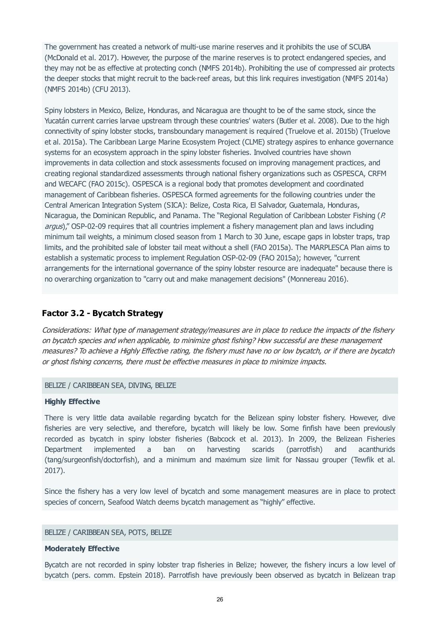The government has created a network of multi-use marine reserves and it prohibits the use of SCUBA (McDonald et al. 2017). However, the purpose of the marine reserves is to protect endangered species, and they may not be as effective at protecting conch (NMFS 2014b). Prohibiting the use of compressed air protects the deeper stocks that might recruit to the back-reef areas, but this link requires investigation (NMFS 2014a) (NMFS 2014b) (CFU 2013).

Spiny lobsters in Mexico, Belize, Honduras, and Nicaragua are thought to be of the same stock, since the Yucatán current carries larvae upstream through these countries' waters (Butler et al. 2008). Due to the high connectivity of spiny lobster stocks, transboundary management is required (Truelove et al. 2015b) (Truelove et al. 2015a). The Caribbean Large Marine Ecosystem Project (CLME) strategy aspires to enhance governance systems for an ecosystem approach in the spiny lobster fisheries. Involved countries have shown improvements in data collection and stock assessments focused on improving management practices, and creating regional standardized assessments through national fishery organizations such as OSPESCA, CRFM and WECAFC (FAO 2015c). OSPESCA is a regional body that promotes development and coordinated management of Caribbean fisheries. OSPESCA formed agreements for the following countries under the Central American Integration System (SICA): Belize, Costa Rica, El Salvador, Guatemala, Honduras, Nicaragua, the Dominican Republic, and Panama. The "Regional Regulation of Caribbean Lobster Fishing (P. argus)," OSP-02-09 requires that all countries implement a fishery management plan and laws including minimum tail weights, a minimum closed season from 1 March to 30 June, escape gaps in lobster traps, trap limits, and the prohibited sale of lobster tail meat without a shell (FAO 2015a). The MARPLESCA Plan aims to establish a systematic process to implement Regulation OSP-02-09 (FAO 2015a); however, "current arrangements for the international governance of the spiny lobster resource are inadequate" because there is no overarching organization to "carry out and make management decisions" (Monnereau 2016).

# **Factor 3.2 - Bycatch Strategy**

Considerations: What type of management strategy/measures are in place to reduce the impacts of the fishery on bycatch species and when applicable, to minimize ghost fishing? How successful are these management measures? To achieve a Highly Effective rating, the fishery must have no or low bycatch, or if there are bycatch or ghost fishing concerns, there must be effective measures in place to minimize impacts.

#### BELIZE / CARIBBEAN SEA, DIVING, BELIZE

#### **Highly Effective**

There is very little data available regarding bycatch for the Belizean spiny lobster fishery. However, dive fisheries are very selective, and therefore, bycatch will likely be low. Some finfish have been previously recorded as bycatch in spiny lobster fisheries (Babcock et al. 2013). In 2009, the Belizean Fisheries Department implemented a ban on harvesting scarids (parrotfish) and acanthurids (tang/surgeonfish/doctorfish), and a minimum and maximum size limit for Nassau grouper (Tewfik et al. 2017).

Since the fishery has a very low level of bycatch and some management measures are in place to protect species of concern, Seafood Watch deems bycatch management as "highly" effective.

#### BELIZE / CARIBBEAN SEA, POTS, BELIZE

#### **Moderately Effective**

Bycatch are not recorded in spiny lobster trap fisheries in Belize; however, the fishery incurs a low level of bycatch (pers. comm. Epstein 2018). Parrotfish have previously been observed as bycatch in Belizean trap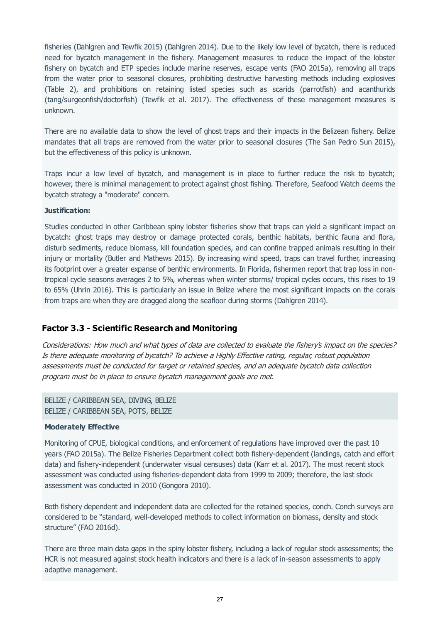fisheries (Dahlgren and Tewfik 2015) (Dahlgren 2014). Due to the likely low level of bycatch, there is reduced need for bycatch management in the fishery. Management measures to reduce the impact of the lobster fishery on bycatch and ETP species include marine reserves, escape vents (FAO 2015a), removing all traps from the water prior to seasonal closures, prohibiting destructive harvesting methods including explosives (Table 2), and prohibitions on retaining listed species such as scarids (parrotfish) and acanthurids (tang/surgeonfish/doctorfish) (Tewfik et al. 2017). The effectiveness of these management measures is unknown.

There are no available data to show the level of ghost traps and their impacts in the Belizean fishery. Belize mandates that all traps are removed from the water prior to seasonal closures (The San Pedro Sun 2015), but the effectiveness of this policy is unknown.

Traps incur a low level of bycatch, and management is in place to further reduce the risk to bycatch; however, there is minimal management to protect against ghost fishing. Therefore, Seafood Watch deems the bycatch strategy a "moderate" concern.

#### **Justification:**

Studies conducted in other Caribbean spiny lobster fisheries show that traps can yield a significant impact on bycatch: ghost traps may destroy or damage protected corals, benthic habitats, benthic fauna and flora, disturb sediments, reduce biomass, kill foundation species, and can confine trapped animals resulting in their injury or mortality (Butler and Mathews 2015). By increasing wind speed, traps can travel further, increasing its footprint over a greater expanse of benthic environments. In Florida, fishermen report that trap loss in nontropical cycle seasons averages 2 to 5%, whereas when winter storms/ tropical cycles occurs, this rises to 19 to 65% (Uhrin 2016). This is particularly an issue in Belize where the most significant impacts on the corals from traps are when they are dragged along the seafloor during storms (Dahlgren 2014).

# **Factor 3.3 - Scientific Research and Monitoring**

Considerations: How much and what types of data are collected to evaluate the fishery's impact on the species? Is there adequate monitoring of bycatch? To achieve a Highly Effective rating, regular, robust population assessments must be conducted for target or retained species, and an adequate bycatch data collection program must be in place to ensure bycatch management goals are met.

BELIZE / CARIBBEAN SEA, DIVING, BELIZE BELIZE / CARIBBEAN SEA, POTS, BELIZE

#### **Moderately Effective**

Monitoring of CPUE, biological conditions, and enforcement of regulations have improved over the past 10 years (FAO 2015a). The Belize Fisheries Department collect both fishery-dependent (landings, catch and effort data) and fishery-independent (underwater visual censuses) data (Karr et al. 2017). The most recent stock assessment was conducted using fisheries-dependent data from 1999 to 2009; therefore, the last stock assessment was conducted in 2010 (Gongora 2010).

Both fishery dependent and independent data are collected for the retained species, conch. Conch surveys are considered to be "standard, well-developed methods to collect information on biomass, density and stock structure" (FAO 2016d).

There are three main data gaps in the spiny lobster fishery, including a lack of regular stock assessments; the HCR is not measured against stock health indicators and there is a lack of in-season assessments to apply adaptive management.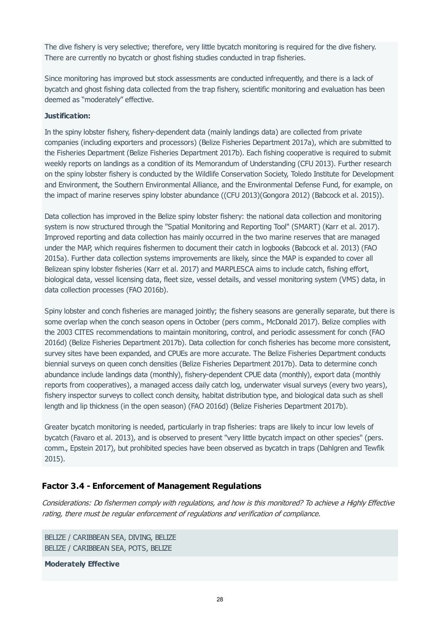The dive fishery is very selective; therefore, very little bycatch monitoring is required for the dive fishery. There are currently no bycatch or ghost fishing studies conducted in trap fisheries.

Since monitoring has improved but stock assessments are conducted infrequently, and there is a lack of bycatch and ghost fishing data collected from the trap fishery, scientific monitoring and evaluation has been deemed as "moderately" effective.

#### **Justification:**

In the spiny lobster fishery, fishery-dependent data (mainly landings data) are collected from private companies (including exporters and processors) (Belize Fisheries Department 2017a), which are submitted to the Fisheries Department (Belize Fisheries Department 2017b). Each fishing cooperative is required to submit weekly reports on landings as a condition of its Memorandum of Understanding (CFU 2013). Further research on the spiny lobster fishery is conducted by the Wildlife Conservation Society, Toledo Institute for Development and Environment, the Southern Environmental Alliance, and the Environmental Defense Fund, for example, on the impact of marine reserves spiny lobster abundance ((CFU 2013)(Gongora 2012) (Babcock et al. 2015)).

Data collection has improved in the Belize spiny lobster fishery: the national data collection and monitoring system is now structured through the "Spatial Monitoring and Reporting Tool" (SMART) (Karr et al. 2017). Improved reporting and data collection has mainly occurred in the two marine reserves that are managed under the MAP, which requires fishermen to document their catch in logbooks (Babcock et al. 2013) (FAO 2015a). Further data collection systems improvements are likely, since the MAP is expanded to cover all Belizean spiny lobster fisheries (Karr et al. 2017) and MARPLESCA aims to include catch, fishing effort, biological data, vessel licensing data, fleet size, vessel details, and vessel monitoring system (VMS) data, in data collection processes (FAO 2016b).

Spiny lobster and conch fisheries are managed jointly; the fishery seasons are generally separate, but there is some overlap when the conch season opens in October (pers comm., McDonald 2017). Belize complies with the 2003 CITES recommendations to maintain monitoring, control, and periodic assessment for conch (FAO 2016d) (Belize Fisheries Department 2017b). Data collection for conch fisheries has become more consistent, survey sites have been expanded, and CPUEs are more accurate. The Belize Fisheries Department conducts biennial surveys on queen conch densities (Belize Fisheries Department 2017b). Data to determine conch abundance include landings data (monthly), fishery-dependent CPUE data (monthly), export data (monthly reports from cooperatives), a managed access daily catch log, underwater visual surveys (every two years), fishery inspector surveys to collect conch density, habitat distribution type, and biological data such as shell length and lip thickness (in the open season) (FAO 2016d) (Belize Fisheries Department 2017b).

Greater bycatch monitoring is needed, particularly in trap fisheries: traps are likely to incur low levels of bycatch (Favaro et al. 2013), and is observed to present "very little bycatch impact on other species" (pers. comm., Epstein 2017), but prohibited species have been observed as bycatch in traps (Dahlgren and Tewfik 2015).

# **Factor 3.4 - Enforcement of Management Regulations**

Considerations: Do fishermen comply with regulations, and how is this monitored? To achieve a Highly Effective rating, there must be regular enforcement of regulations and verification of compliance.

BELIZE / CARIBBEAN SEA, DIVING, BELIZE BELIZE / CARIBBEAN SEA, POTS, BELIZE

**Moderately Effective**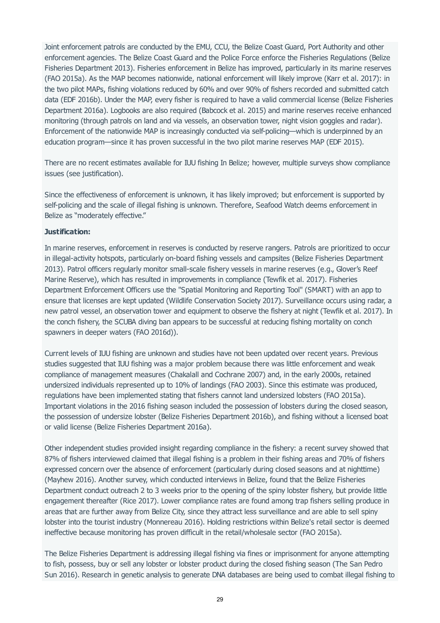Joint enforcement patrols are conducted by the EMU, CCU, the Belize Coast Guard, Port Authority and other enforcement agencies. The Belize Coast Guard and the Police Force enforce the Fisheries Regulations (Belize Fisheries Department 2013). Fisheries enforcement in Belize has improved, particularly in its marine reserves (FAO 2015a). As the MAP becomes nationwide, national enforcement will likely improve (Karr et al. 2017): in the two pilot MAPs, fishing violations reduced by 60% and over 90% of fishers recorded and submitted catch data (EDF 2016b). Under the MAP, every fisher is required to have a valid commercial license (Belize Fisheries Department 2016a). Logbooks are also required (Babcock et al. 2015) and marine reserves receive enhanced monitoring (through patrols on land and via vessels, an observation tower, night vision goggles and radar). Enforcement of the nationwide MAP is increasingly conducted via self-policing—which is underpinned by an education program—since it has proven successful in the two pilot marine reserves MAP (EDF 2015).

There are no recent estimates available for IUU fishing In Belize; however, multiple surveys show compliance issues (see justification).

Since the effectiveness of enforcement is unknown, it has likely improved; but enforcement is supported by self-policing and the scale of illegal fishing is unknown. Therefore, Seafood Watch deems enforcement in Belize as "moderately effective."

#### **Justification:**

In marine reserves, enforcement in reserves is conducted by reserve rangers. Patrols are prioritized to occur in illegal-activity hotspots, particularly on-board fishing vessels and campsites (Belize Fisheries Department 2013). Patrol officers regularly monitor small-scale fishery vessels in marine reserves (e.g., Glover's Reef Marine Reserve), which has resulted in improvements in compliance (Tewfik et al. 2017). Fisheries Department Enforcement Officers use the "Spatial Monitoring and Reporting Tool" (SMART) with an app to ensure that licenses are kept updated (Wildlife Conservation Society 2017). Surveillance occurs using radar, a new patrol vessel, an observation tower and equipment to observe the fishery at night (Tewfik et al. 2017). In the conch fishery, the SCUBA diving ban appears to be successful at reducing fishing mortality on conch spawners in deeper waters (FAO 2016d)).

Current levels of IUU fishing are unknown and studies have not been updated over recent years. Previous studies suggested that IUU fishing was a major problem because there was little enforcement and weak compliance of management measures (Chakalall and Cochrane 2007) and, in the early 2000s, retained undersized individuals represented up to 10% of landings (FAO 2003). Since this estimate was produced, regulations have been implemented stating that fishers cannot land undersized lobsters (FAO 2015a). Important violations in the 2016 fishing season included the possession of lobsters during the closed season, the possession of undersize lobster (Belize Fisheries Department 2016b), and fishing without a licensed boat or valid license (Belize Fisheries Department 2016a).

Other independent studies provided insight regarding compliance in the fishery: a recent survey showed that 87% of fishers interviewed claimed that illegal fishing is a problem in their fishing areas and 70% of fishers expressed concern over the absence of enforcement (particularly during closed seasons and at nighttime) (Mayhew 2016). Another survey, which conducted interviews in Belize, found that the Belize Fisheries Department conduct outreach 2 to 3 weeks prior to the opening of the spiny lobster fishery, but provide little engagement thereafter (Rice 2017). Lower compliance rates are found among trap fishers selling produce in areas that are further away from Belize City, since they attract less surveillance and are able to sell spiny lobster into the tourist industry (Monnereau 2016). Holding restrictions within Belize's retail sector is deemed ineffective because monitoring has proven difficult in the retail/wholesale sector (FAO 2015a).

The Belize Fisheries Department is addressing illegal fishing via fines or imprisonment for anyone attempting to fish, possess, buy or sell any lobster or lobster product during the closed fishing season (The San Pedro Sun 2016). Research in genetic analysis to generate DNA databases are being used to combat illegal fishing to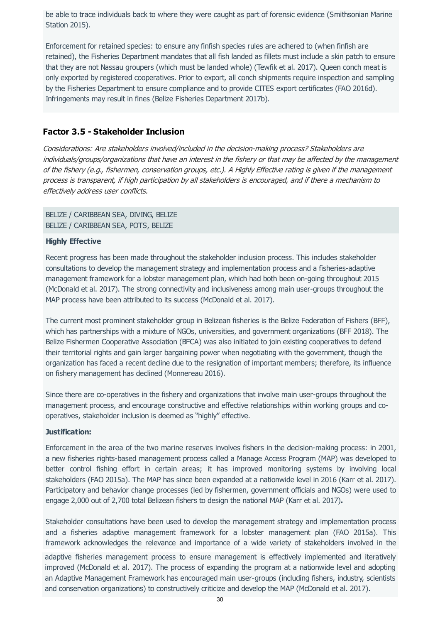be able to trace individuals back to where they were caught as part of forensic evidence (Smithsonian Marine Station 2015).

Enforcement for retained species: to ensure any finfish species rules are adhered to (when finfish are retained), the Fisheries Department mandates that all fish landed as fillets must include a skin patch to ensure that they are not Nassau groupers (which must be landed whole) (Tewfik et al. 2017). Queen conch meat is only exported by registered cooperatives. Prior to export, all conch shipments require inspection and sampling by the Fisheries Department to ensure compliance and to provide CITES export certificates (FAO 2016d). Infringements may result in fines (Belize Fisheries Department 2017b).

# **Factor 3.5 - Stakeholder Inclusion**

Considerations: Are stakeholders involved/included in the decision-making process? Stakeholders are individuals/groups/organizations that have an interest in the fishery or that may be affected by the management of the fishery (e.g., fishermen, conservation groups, etc.). A Highly Effective rating is given if the management process is transparent, if high participation by all stakeholders is encouraged, and if there a mechanism to effectively address user conflicts.

BELIZE / CARIBBEAN SEA, DIVING, BELIZE BELIZE / CARIBBEAN SEA, POTS, BELIZE

#### **Highly Effective**

Recent progress has been made throughout the stakeholder inclusion process. This includes stakeholder consultations to develop the management strategy and implementation process and a fisheries-adaptive management framework for a lobster management plan, which had both been on-going throughout 2015 (McDonald et al. 2017). The strong connectivity and inclusiveness among main user-groups throughout the MAP process have been attributed to its success (McDonald et al. 2017).

The current most prominent stakeholder group in Belizean fisheries is the Belize Federation of Fishers (BFF), which has partnerships with a mixture of NGOs, universities, and government organizations (BFF 2018). The Belize Fishermen Cooperative Association (BFCA) was also initiated to join existing cooperatives to defend their territorial rights and gain larger bargaining power when negotiating with the government, though the organization has faced a recent decline due to the resignation of important members; therefore, its influence on fishery management has declined (Monnereau 2016).

Since there are co-operatives in the fishery and organizations that involve main user-groups throughout the management process, and encourage constructive and effective relationships within working groups and cooperatives, stakeholder inclusion is deemed as "highly" effective.

#### **Justification:**

Enforcement in the area of the two marine reserves involves fishers in the decision-making process: in 2001, a new fisheries rights-based management process called a Manage Access Program (MAP) was developed to better control fishing effort in certain areas; it has improved monitoring systems by involving local stakeholders (FAO 2015a). The MAP has since been expanded at a nationwide level in 2016 (Karr et al. 2017). Participatory and behavior change processes (led by fishermen, government officials and NGOs) were used to engage 2,000 out of 2,700 total Belizean fishers to design the national MAP (Karr et al. 2017)**.**

Stakeholder consultations have been used to develop the management strategy and implementation process and a fisheries adaptive management framework for a lobster management plan (FAO 2015a). This framework acknowledges the relevance and importance of a wide variety of stakeholders involved in the

adaptive fisheries management process to ensure management is effectively implemented and iteratively improved (McDonald et al. 2017). The process of expanding the program at a nationwide level and adopting an Adaptive Management Framework has encouraged main user-groups (including fishers, industry, scientists and conservation organizations) to constructively criticize and develop the MAP (McDonald et al. 2017).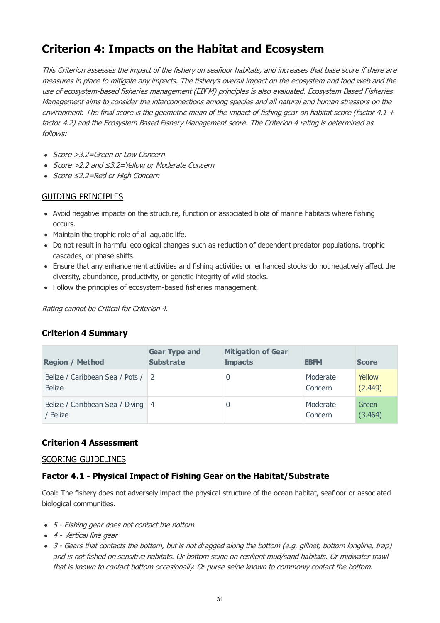# **Criterion 4: Impacts on the Habitat and Ecosystem**

This Criterion assesses the impact of the fishery on seafloor habitats, and increases that base score if there are measures in place to mitigate any impacts. The fishery's overall impact on the ecosystem and food web and the use of ecosystem-based fisheries management (EBFM) principles is also evaluated. Ecosystem Based Fisheries Management aims to consider the interconnections among species and all natural and human stressors on the environment. The final score is the geometric mean of the impact of fishing gear on habitat score (factor 4.1  $+$ factor 4.2) and the Ecosystem Based Fishery Management score. The Criterion 4 rating is determined as follows:

- Score > 3.2=Green or Low Concern
- Score >2.2 and ≤3.2=Yellow or Moderate Concern
- Score ≤2.2=Red or High Concern

# GUIDING PRINCIPLES

- Avoid negative impacts on the structure, function or associated biota of marine habitats where fishing occurs.
- Maintain the trophic role of all aquatic life.
- Do not result in harmful ecological changes such as reduction of dependent predator populations, trophic cascades, or phase shifts.
- Ensure that any enhancement activities and fishing activities on enhanced stocks do not negatively affect the diversity, abundance, productivity, or genetic integrity of wild stocks.
- Follow the principles of ecosystem-based fisheries management.

Rating cannot be Critical for Criterion 4.

# **Criterion 4 Summary**

| <b>Region / Method</b>                             | <b>Gear Type and</b><br><b>Substrate</b> | <b>Mitigation of Gear</b><br><b>Impacts</b> | <b>EBFM</b>         | <b>Score</b>      |
|----------------------------------------------------|------------------------------------------|---------------------------------------------|---------------------|-------------------|
| Belize / Caribbean Sea / Pots / 2<br><b>Belize</b> |                                          | 0                                           | Moderate<br>Concern | Yellow<br>(2.449) |
| Belize / Caribbean Sea / Diving 4<br>Belize        |                                          | 0                                           | Moderate<br>Concern | Green<br>(3.464)  |

# **Criterion 4 Assessment**

# SCORING GUIDELINES

# **Factor 4.1 - Physical Impact of Fishing Gear on the Habitat/Substrate**

Goal: The fishery does not adversely impact the physical structure of the ocean habitat, seafloor or associated biological communities.

- 5 Fishing gear does not contact the bottom
- 4 Vertical line gear
- 3 Gears that contacts the bottom, but is not dragged along the bottom (e.g. gillnet, bottom longline, trap) and is not fished on sensitive habitats. Or bottom seine on resilient mud/sand habitats. Or midwater trawl that is known to contact bottom occasionally. Or purse seine known to commonly contact the bottom.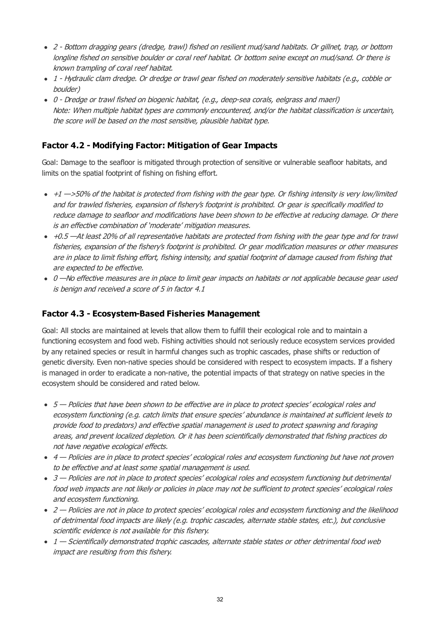- 2 Bottom dragging gears (dredge, trawl) fished on resilient mud/sand habitats. Or gillnet, trap, or bottom longline fished on sensitive boulder or coral reef habitat. Or bottom seine except on mud/sand. Or there is known trampling of coral reef habitat.
- 1 Hydraulic clam dredge. Or dredge or trawl gear fished on moderately sensitive habitats (e.g., cobble or boulder)
- 0 Dredge or trawl fished on biogenic habitat, (e.g., deep-sea corals, eelgrass and maerl) Note: When multiple habitat types are commonly encountered, and/or the habitat classification is uncertain, the score will be based on the most sensitive, plausible habitat type.

# **Factor 4.2 - Modifying Factor: Mitigation of Gear Impacts**

Goal: Damage to the seafloor is mitigated through protection of sensitive or vulnerable seafloor habitats, and limits on the spatial footprint of fishing on fishing effort.

- $\cdot$  +1  $\rightarrow$  50% of the habitat is protected from fishing with the gear type. Or fishing intensity is very low/limited and for trawled fisheries, expansion of fishery's footprint is prohibited. Or gear is specifically modified to reduce damage to seafloor and modifications have been shown to be effective at reducing damage. Or there is an effective combination of 'moderate' mitigation measures.
- $+0.5$  —At least 20% of all representative habitats are protected from fishing with the gear type and for trawl fisheries, expansion of the fishery's footprint is prohibited. Or gear modification measures or other measures are in place to limit fishing effort, fishing intensity, and spatial footprint of damage caused from fishing that are expected to be effective.
- 0 -No effective measures are in place to limit gear impacts on habitats or not applicable because gear used is benign and received a score of 5 in factor 4.1

# **Factor 4.3 - Ecosystem-Based Fisheries Management**

Goal: All stocks are maintained at levels that allow them to fulfill their ecological role and to maintain a functioning ecosystem and food web. Fishing activities should not seriously reduce ecosystem services provided by any retained species or result in harmful changes such as trophic cascades, phase shifts or reduction of genetic diversity. Even non-native species should be considered with respect to ecosystem impacts. If a fishery is managed in order to eradicate a non-native, the potential impacts of that strategy on native species in the ecosystem should be considered and rated below.

- $5$  Policies that have been shown to be effective are in place to protect species' ecological roles and ecosystem functioning (e.g. catch limits that ensure species' abundance is maintained at sufficient levels to provide food to predators) and effective spatial management is used to protect spawning and foraging areas, and prevent localized depletion. Or it has been scientifically demonstrated that fishing practices do not have negative ecological effects.
- 4 Policies are in place to protect species' ecological roles and ecosystem functioning but have not proven to be effective and at least some spatial management is used.
- 3 Policies are not in place to protect species' ecological roles and ecosystem functioning but detrimental food web impacts are not likely or policies in place may not be sufficient to protect species' ecological roles and ecosystem functioning.
- 2 Policies are not in place to protect species' ecological roles and ecosystem functioning and the likelihood of detrimental food impacts are likely (e.g. trophic cascades, alternate stable states, etc.), but conclusive scientific evidence is not available for this fishery.
- 1 Scientifically demonstrated trophic cascades, alternate stable states or other detrimental food web impact are resulting from this fishery.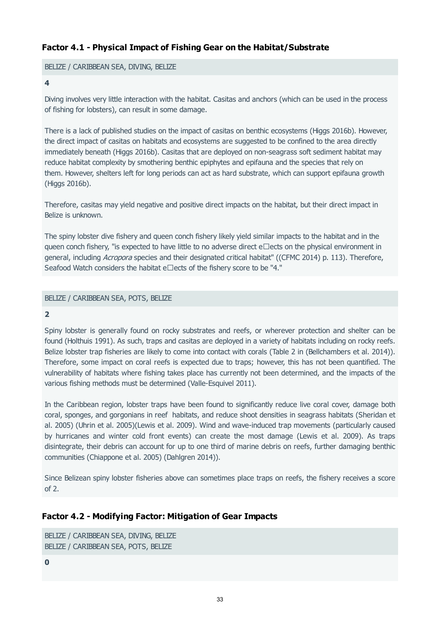# <span id="page-32-0"></span>**Factor 4.1 - Physical Impact of Fishing Gear on the Habitat/Substrate**

#### BELIZE / CARIBBEAN SEA, DIVING, BELIZE

#### **4**

Diving involves very little interaction with the habitat. Casitas and anchors (which can be used in the process of fishing for lobsters), can result in some damage.

There is a lack of published studies on the impact of casitas on benthic ecosystems (Higgs 2016b). However, the direct impact of casitas on habitats and ecosystems are suggested to be confined to the area directly immediately beneath (Higgs 2016b). Casitas that are deployed on non-seagrass soft sediment habitat may reduce habitat complexity by smothering benthic epiphytes and epifauna and the species that rely on them. However, shelters left for long periods can act as hard substrate, which can support epifauna growth (Higgs 2016b).

Therefore, casitas may yield negative and positive direct impacts on the habitat, but their direct impact in Belize is unknown.

The spiny lobster dive fishery and queen conch fishery likely yield similar impacts to the habitat and in the queen conch fishery, "is expected to have little to no adverse direct  $e\Box$ ects on the physical environment in general, including Acropora species and their designated critical habitat" ((CFMC 2014) p. 113). Therefore, Seafood Watch considers the habitat e $\square$ ects of the fishery score to be "4."

#### BELIZE / CARIBBEAN SEA, POTS, BELIZE

#### **2**

Spiny lobster is generally found on rocky substrates and reefs, or wherever protection and shelter can be found (Holthuis 1991). As such, traps and casitas are deployed in a variety of habitats including on rocky reefs. Belize lobster trap fisheries are likely to come into contact with corals (Table 2 in (Bellchambers et al. 2014)). Therefore, some impact on coral reefs is expected due to traps; however, this has not been quantified. The vulnerability of habitats where fishing takes place has currently not been determined, and the impacts of the various fishing methods must be determined (Valle-Esquivel 2011).

In the Caribbean region, lobster traps have been found to significantly reduce live coral cover, damage both coral, sponges, and gorgonians in reef habitats, and reduce shoot densities in seagrass habitats (Sheridan et al. 2005) (Uhrin et al. 2005)(Lewis et al. 2009). Wind and wave-induced trap movements (particularly caused by hurricanes and winter cold front events) can create the most damage (Lewis et al. 2009). As traps disintegrate, their debris can account for up to one third of marine debris on reefs, further damaging benthic communities (Chiappone et al. 2005) (Dahlgren 2014)).

Since Belizean spiny lobster fisheries above can sometimes place traps on reefs, the fishery receives a score of 2.

# **Factor 4.2 - Modifying Factor: Mitigation of Gear Impacts**

```
BELIZE / CARIBBEAN SEA, DIVING, BELIZE
BELIZE / CARIBBEAN SEA, POTS, BELIZE
```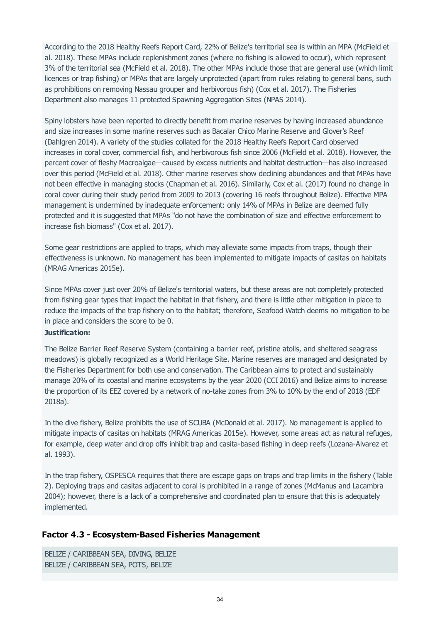According to the 2018 Healthy Reefs Report Card, 22% of Belize's territorial sea is within an MPA (McField et al. 2018). These MPAs include replenishment zones (where no fishing is allowed to occur), which represent 3% of the territorial sea (McField et al. 2018). The other MPAs include those that are general use (which limit licences or trap fishing) or MPAs that are largely unprotected (apart from rules relating to general bans, such as prohibitions on removing Nassau grouper and herbivorous fish) (Cox et al. 2017). The Fisheries Department also manages 11 protected Spawning Aggregation Sites (NPAS 2014).

Spiny lobsters have been reported to directly benefit from marine reserves by having increased abundance and size increases in some marine reserves such as Bacalar Chico Marine Reserve and Glover's Reef (Dahlgren 2014). A variety of the studies collated for the 2018 Healthy Reefs Report Card observed increases in coral cover, commercial fish, and herbivorous fish since 2006 (McField et al. 2018). However, the percent cover of fleshy Macroalgae—caused by excess nutrients and habitat destruction—has also increased over this period (McField et al. 2018). Other marine reserves show declining abundances and that MPAs have not been effective in managing stocks (Chapman et al. 2016). Similarly, Cox et al. (2017) found no change in coral cover during their study period from 2009 to 2013 (covering 16 reefs throughout Belize). Effective MPA management is undermined by inadequate enforcement: only 14% of MPAs in Belize are deemed fully protected and it is suggested that MPAs "do not have the combination of size and effective enforcement to increase fish biomass" (Cox et al. 2017).

Some gear restrictions are applied to traps, which may alleviate some impacts from traps, though their effectiveness is unknown. No management has been implemented to mitigate impacts of casitas on habitats (MRAG Americas 2015e).

Since MPAs cover just over 20% of Belize's territorial waters, but these areas are not completely protected from fishing gear types that impact the habitat in that fishery, and there is little other mitigation in place to reduce the impacts of the trap fishery on to the habitat; therefore, Seafood Watch deems no mitigation to be in place and considers the score to be 0.

#### **Justification:**

The Belize Barrier Reef Reserve System (containing a barrier reef, pristine atolls, and sheltered seagrass meadows) is globally recognized as a World Heritage Site. Marine reserves are managed and designated by the Fisheries Department for both use and conservation. The Caribbean aims to protect and sustainably manage 20% of its coastal and marine ecosystems by the year 2020 (CCI 2016) and Belize aims to increase the proportion of its EEZ covered by a network of no-take zones from 3% to 10% by the end of 2018 (EDF 2018a).

In the dive fishery, Belize prohibits the use of SCUBA (McDonald et al. 2017). No management is applied to mitigate impacts of casitas on habitats (MRAG Americas 2015e). However, some areas act as natural refuges, for example, deep water and drop offs inhibit trap and casita-based fishing in deep reefs (Lozana-Alvarez et al. 1993).

In the trap fishery, OSPESCA requires that there are escape gaps on traps and trap limits in the fishery (Table 2). Deploying traps and casitas adjacent to coral is prohibited in a range of zones (McManus and Lacambra 2004); however, there is a lack of a comprehensive and coordinated plan to ensure that this is adequately implemented.

# **Factor 4.3 - Ecosystem-Based Fisheries Management**

```
BELIZE / CARIBBEAN SEA, DIVING, BELIZE
BELIZE / CARIBBEAN SEA, POTS, BELIZE
```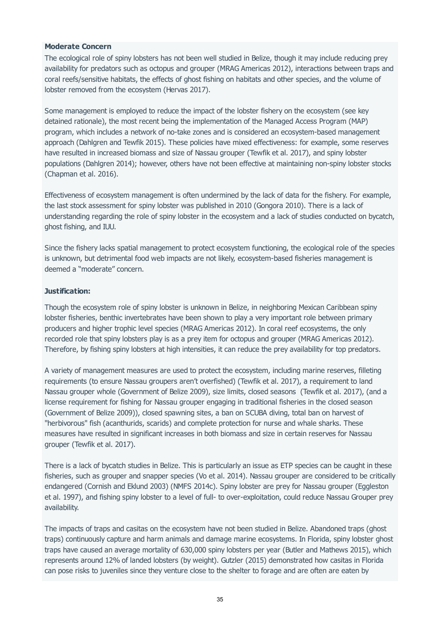#### **Moderate Concern**

The ecological role of spiny lobsters has not been well studied in Belize, though it may include reducing prey availability for predators such as octopus and grouper (MRAG Americas 2012), interactions between traps and coral reefs/sensitive habitats, the effects of ghost fishing on habitats and other species, and the volume of lobster removed from the ecosystem (Hervas 2017).

Some management is employed to reduce the impact of the lobster fishery on the ecosystem (see key detained rationale), the most recent being the implementation of the Managed Access Program (MAP) program, which includes a network of no-take zones and is considered an ecosystem-based management approach (Dahlgren and Tewfik 2015). These policies have mixed effectiveness: for example, some reserves have resulted in increased biomass and size of Nassau grouper (Tewfik et al. 2017), and spiny lobster populations (Dahlgren 2014); however, others have not been effective at maintaining non-spiny lobster stocks (Chapman et al. 2016).

Effectiveness of ecosystem management is often undermined by the lack of data for the fishery. For example, the last stock assessment for spiny lobster was published in 2010 (Gongora 2010). There is a lack of understanding regarding the role of spiny lobster in the ecosystem and a lack of studies conducted on bycatch, ghost fishing, and IUU.

Since the fishery lacks spatial management to protect ecosystem functioning, the ecological role of the species is unknown, but detrimental food web impacts are not likely, ecosystem-based fisheries management is deemed a "moderate" concern.

#### **Justification:**

Though the ecosystem role of spiny lobster is unknown in Belize, in neighboring Mexican Caribbean spiny lobster fisheries, benthic invertebrates have been shown to play a very important role between primary producers and higher trophic level species (MRAG Americas 2012). In coral reef ecosystems, the only recorded role that spiny lobsters play is as a prey item for octopus and grouper (MRAG Americas 2012). Therefore, by fishing spiny lobsters at high intensities, it can reduce the prey availability for top predators.

A variety of management measures are used to protect the ecosystem, including marine reserves, filleting requirements (to ensure Nassau groupers aren't overfished) (Tewfik et al. 2017), a requirement to land Nassau grouper whole (Government of Belize 2009), size limits, closed seasons (Tewfik et al. 2017), (and a license requirement for fishing for Nassau grouper engaging in traditional fisheries in the closed season (Government of Belize 2009)), closed spawning sites, a ban on SCUBA diving, total ban on harvest of "herbivorous" fish (acanthurids, scarids) and complete protection for nurse and whale sharks. These measures have resulted in significant increases in both biomass and size in certain reserves for Nassau grouper (Tewfik et al. 2017).

There is a lack of bycatch studies in Belize. This is particularly an issue as ETP species can be caught in these fisheries, such as grouper and snapper species (Vo et al. 2014). Nassau grouper are considered to be critically endangered (Cornish and Eklund 2003) (NMFS 2014c). Spiny lobster are prey for Nassau grouper (Eggleston et al. 1997), and fishing spiny lobster to a level of full- to over-exploitation, could reduce Nassau Grouper prey availability.

The impacts of traps and casitas on the ecosystem have not been studied in Belize. Abandoned traps (ghost traps) continuously capture and harm animals and damage marine ecosystems. In Florida, spiny lobster ghost traps have caused an average mortality of 630,000 spiny lobsters per year (Butler and Mathews 2015), which represents around 12% of landed lobsters (by weight). Gutzler (2015) demonstrated how casitas in Florida can pose risks to juveniles since they venture close to the shelter to forage and are often are eaten by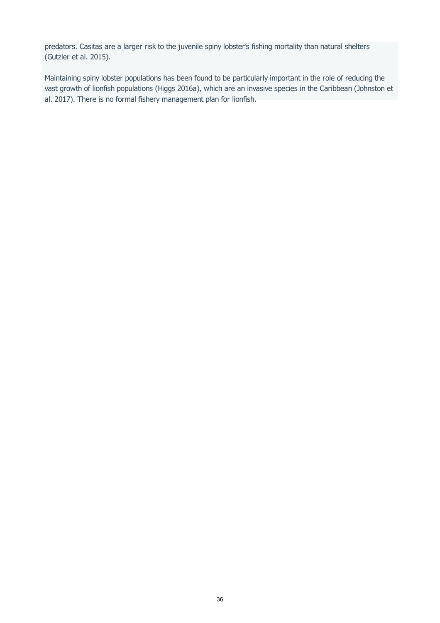predators. Casitas are a larger risk to the juvenile spiny lobster's fishing mortality than natural shelters (Gutzler et al. 2015).

Maintaining spiny lobster populations has been found to be particularly important in the role of reducing the vast growth of lionfish populations (Higgs 2016a), which are an invasive species in the Caribbean (Johnston et al. 2017). There is no formal fishery management plan for lionfish.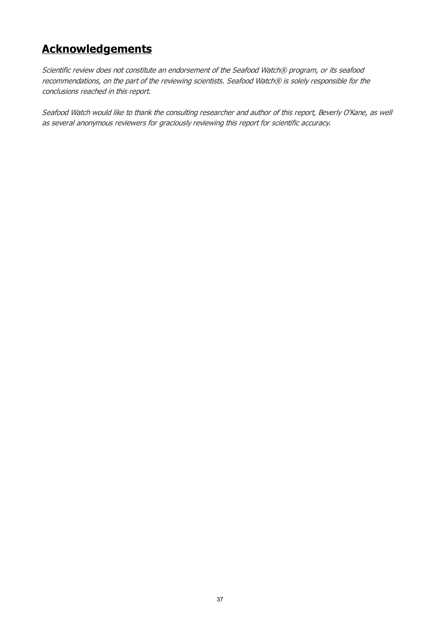# **Acknowledgements**

Scientific review does not constitute an endorsement of the Seafood Watch® program, or its seafood recommendations, on the part of the reviewing scientists. Seafood Watch® is solely responsible for the conclusions reached in this report.

Seafood Watch would like to thank the consulting researcher and author of this report, Beverly O'Kane, as well as several anonymous reviewers for graciously reviewing this report for scientific accuracy.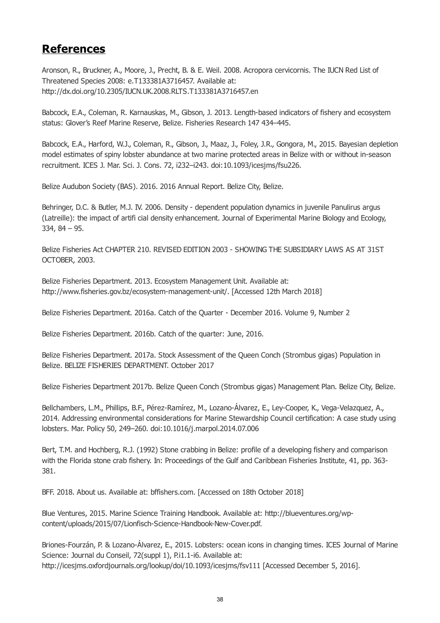# **References**

Aronson, R., Bruckner, A., Moore, J., Precht, B. & E. Weil. 2008. Acropora cervicornis. The IUCN Red List of Threatened Species 2008: e.T133381A3716457. Available at: http://dx.doi.org/10.2305/IUCN.UK.2008.RLTS.T133381A3716457.en

Babcock, E.A., Coleman, R. Karnauskas, M., Gibson, J. 2013. Length-based indicators of fishery and ecosystem status: Glover's Reef Marine Reserve, Belize. Fisheries Research 147 434–445.

Babcock, E.A., Harford, W.J., Coleman, R., Gibson, J., Maaz, J., Foley, J.R., Gongora, M., 2015. Bayesian depletion model estimates of spiny lobster abundance at two marine protected areas in Belize with or without in-season recruitment. ICES J. Mar. Sci. J. Cons. 72, i232–i243. doi:10.1093/icesjms/fsu226.

Belize Audubon Society (BAS). 2016. 2016 Annual Report. Belize City, Belize.

Behringer, D.C. & Butler, M.J. IV. 2006. Density - dependent population dynamics in juvenile Panulirus argus (Latreille): the impact of artifi cial density enhancement. Journal of Experimental Marine Biology and Ecology, 334, 84 – 95.

Belize Fisheries Act CHAPTER 210. REVISED EDITION 2003 - SHOWING THE SUBSIDIARY LAWS AS AT 31ST OCTOBER, 2003.

Belize Fisheries Department. 2013. Ecosystem Management Unit. Available at: http://www.fisheries.gov.bz/ecosystem-management-unit/. [Accessed 12th March 2018]

Belize Fisheries Department. 2016a. Catch of the Quarter - December 2016. Volume 9, Number 2

Belize Fisheries Department. 2016b. Catch of the quarter: June, 2016.

Belize Fisheries Department. 2017a. Stock Assessment of the Queen Conch (Strombus gigas) Population in Belize. BELIZE FISHERIES DEPARTMENT. October 2017

Belize Fisheries Department 2017b. Belize Queen Conch (Strombus gigas) Management Plan. Belize City, Belize.

Bellchambers, L.M., Phillips, B.F., Pérez-Ramírez, M., Lozano-Álvarez, E., Ley-Cooper, K., Vega-Velazquez, A., 2014. Addressing environmental considerations for Marine Stewardship Council certification: A case study using lobsters. Mar. Policy 50, 249–260. doi:10.1016/j.marpol.2014.07.006

Bert, T.M. and Hochberg, R.J. (1992) Stone crabbing in Belize: profile of a developing fishery and comparison with the Florida stone crab fishery. In: Proceedings of the Gulf and Caribbean Fisheries Institute, 41, pp. 363- 381.

BFF. 2018. About us. Available at: bffishers.com. [Accessed on 18th October 2018]

Blue Ventures, 2015. Marine Science Training Handbook. Available at: http://blueventures.org/wpcontent/uploads/2015/07/Lionfisch-Science-Handbook-New-Cover.pdf.

Briones-Fourzán, P. & Lozano-Álvarez, E., 2015. Lobsters: ocean icons in changing times. ICES Journal of Marine Science: Journal du Conseil, 72(suppl 1), P.i1.1-i6. Available at: http://icesjms.oxfordjournals.org/lookup/doi/10.1093/icesjms/fsv111 [Accessed December 5, 2016].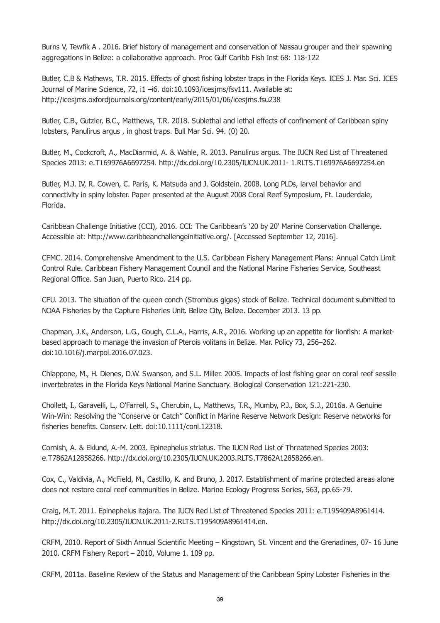<span id="page-38-0"></span>Burns V, Tewfik A . 2016. Brief history of management and conservation of Nassau grouper and their spawning aggregations in Belize: a collaborative approach. Proc Gulf Caribb Fish Inst 68: 118-122

Butler, C.B & Mathews, T.R. 2015. Effects of ghost fishing lobster traps in the Florida Keys. ICES J. Mar. Sci. ICES Journal of Marine Science, 72, i1 -i6. doi:10.1093/icesjms/fsv111. Available at: http://icesjms.oxfordjournals.org/content/early/2015/01/06/icesjms.fsu238

Butler, C.B., Gutzler, B.C., Matthews, T.R. 2018. Sublethal and lethal effects of confinement of Caribbean spiny lobsters, Panulirus argus , in ghost traps. Bull Mar Sci. 94. (0) 20.

Butler, M., Cockcroft, A., MacDiarmid, A. & Wahle, R. 2013. Panulirus argus. The IUCN Red List of Threatened Species 2013: e.T169976A6697254. http://dx.doi.org/10.2305/IUCN.UK.2011- 1.RLTS.T169976A6697254.en

Butler, M.J. IV, R. Cowen, C. Paris, K. Matsuda and J. Goldstein. 2008. Long PLDs, larval behavior and connectivity in spiny lobster. Paper presented at the August 2008 Coral Reef Symposium, Ft. Lauderdale, Florida.

Caribbean Challenge Initiative (CCI), 2016. CCI: The Caribbean's '20 by 20' Marine Conservation Challenge. Accessible at: http://www.caribbeanchallengeinitiative.org/. [Accessed September 12, 2016].

CFMC. 2014. Comprehensive Amendment to the U.S. Caribbean Fishery Management Plans: Annual Catch Limit Control Rule. Caribbean Fishery Management Council and the National Marine Fisheries Service, Southeast Regional Office. San Juan, Puerto Rico. 214 pp.

CFU. 2013. The situation of the queen conch (Strombus gigas) stock of Belize. Technical document submitted to NOAA Fisheries by the Capture Fisheries Unit. Belize City, Belize. December 2013. 13 pp.

Chapman, J.K., Anderson, L.G., Gough, C.L.A., Harris, A.R., 2016. Working up an appetite for lionfish: A marketbased approach to manage the invasion of Pterois volitans in Belize. Mar. Policy 73, 256–262. doi:10.1016/j.marpol.2016.07.023.

Chiappone, M., H. Dienes, D.W. Swanson, and S.L. Miller. 2005. Impacts of lost fishing gear on coral reef sessile invertebrates in the Florida Keys National Marine Sanctuary. Biological Conservation 121:221-230.

Chollett, I., Garavelli, L., O'Farrell, S., Cherubin, L., Matthews, T.R., Mumby, P.J., Box, S.J., 2016a. A Genuine Win-Win: Resolving the "Conserve or Catch" Conflict in Marine Reserve Network Design: Reserve networks for fisheries benefits. Conserv. Lett. doi:10.1111/conl.12318.

Cornish, A. & Eklund, A.-M. 2003. Epinephelus striatus. The IUCN Red List of Threatened Species 2003: e.T7862A12858266. http://dx.doi.org/10.2305/IUCN.UK.2003.RLTS.T7862A12858266.en.

Cox, C., Valdivia, A., McField, M., Castillo, K. and Bruno, J. 2017. Establishment of marine protected areas alone does not restore coral reef communities in Belize. Marine Ecology Progress Series, 563, pp.65-79.

Craig, M.T. 2011. Epinephelus itajara. The IUCN Red List of Threatened Species 2011: e.T195409A8961414. http://dx.doi.org/10.2305/IUCN.UK.2011-2.RLTS.T195409A8961414.en.

CRFM, 2010. Report of Sixth Annual Scientific Meeting – Kingstown, St. Vincent and the Grenadines, 07- 16 June 2010. CRFM Fishery Report – 2010, Volume 1. 109 pp.

CRFM, 2011a. Baseline Review of the Status and Management of the Caribbean Spiny Lobster Fisheries in the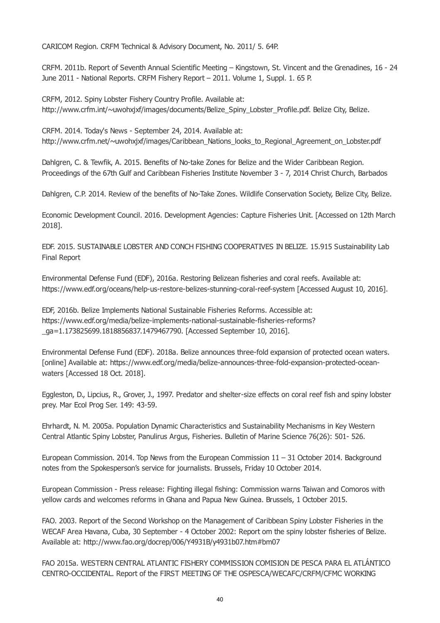<span id="page-39-0"></span>CARICOM Region. CRFM Technical & Advisory Document, No. 2011/ 5. 64P.

CRFM. 2011b. Report of Seventh Annual Scientific Meeting – Kingstown, St. Vincent and the Grenadines, 16 - 24 June 2011 - National Reports. CRFM Fishery Report – 2011. Volume 1, Suppl. 1. 65 P.

CRFM, 2012. Spiny Lobster Fishery Country Profile. Available at: http://www.crfm.int/~uwohxjxf/images/documents/Belize\_Spiny\_Lobster\_Profile.pdf. Belize City, Belize.

CRFM. 2014. Today's News - September 24, 2014. Available at: http://www.crfm.net/~uwohxjxf/images/Caribbean\_Nations\_looks\_to\_Regional\_Agreement\_on\_Lobster.pdf

Dahlgren, C. & Tewfik, A. 2015. Benefits of No-take Zones for Belize and the Wider Caribbean Region. Proceedings of the 67th Gulf and Caribbean Fisheries Institute November 3 - 7, 2014 Christ Church, Barbados

Dahlgren, C.P. 2014. Review of the benefits of No-Take Zones. Wildlife Conservation Society, Belize City, Belize.

Economic Development Council. 2016. Development Agencies: Capture Fisheries Unit. [Accessed on 12th March 2018].

EDF. 2015. SUSTAINABLE LOBSTER AND CONCH FISHING COOPERATIVES IN BELIZE. 15.915 Sustainability Lab Final Report

Environmental Defense Fund (EDF), 2016a. Restoring Belizean fisheries and coral reefs. Available at: https://www.edf.org/oceans/help-us-restore-belizes-stunning-coral-reef-system [Accessed August 10, 2016].

EDF, 2016b. Belize Implements National Sustainable Fisheries Reforms. Accessible at: https://www.edf.org/media/belize-implements-national-sustainable-fisheries-reforms? \_ga=1.173825699.1818856837.1479467790. [Accessed September 10, 2016].

Environmental Defense Fund (EDF). 2018a. Belize announces three-fold expansion of protected ocean waters. [online] Available at: https://www.edf.org/media/belize-announces-three-fold-expansion-protected-oceanwaters [Accessed 18 Oct. 2018].

Eggleston, D., Lipcius, R., Grover, J., 1997. Predator and shelter-size effects on coral reef fish and spiny lobster prey. Mar Ecol Prog Ser. 149: 43-59.

Ehrhardt, N. M. 2005a. Population Dynamic Characteristics and Sustainability Mechanisms in Key Western Central Atlantic Spiny Lobster, Panulirus Argus, Fisheries. Bulletin of Marine Science 76(26): 501- 526.

European Commission. 2014. Top News from the European Commission 11 – 31 October 2014. Background notes from the Spokesperson's service for journalists. Brussels, Friday 10 October 2014.

European Commission - Press release: Fighting illegal fishing: Commission warns Taiwan and Comoros with yellow cards and welcomes reforms in Ghana and Papua New Guinea. Brussels, 1 October 2015.

FAO. 2003. Report of the Second Workshop on the Management of Caribbean Spiny Lobster Fisheries in the WECAF Area Havana, Cuba, 30 September - 4 October 2002: Report om the spiny lobster fisheries of Belize. Available at: http://www.fao.org/docrep/006/Y4931B/y4931b07.htm#bm07

FAO 2015a. WESTERN CENTRAL ATLANTIC FISHERY COMMISSION COMISION DE PESCA PARA EL ATLÁNTICO CENTRO-OCCIDENTAL. Report of the FIRST MEETING OF THE OSPESCA/WECAFC/CRFM/CFMC WORKING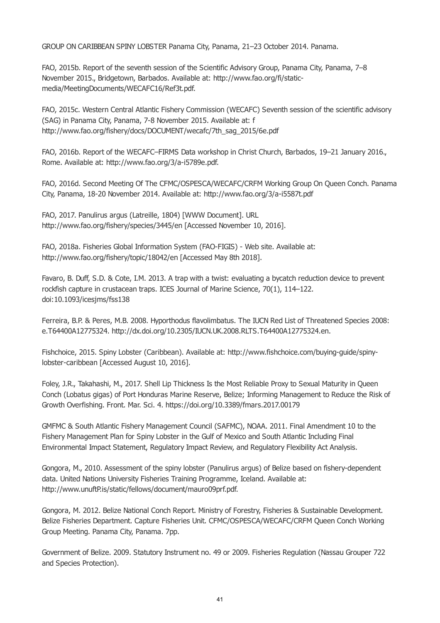GROUP ON CARIBBEAN SPINY LOBSTER Panama City, Panama, 21–23 October 2014. Panama.

FAO, 2015b. Report of the seventh session of the Scientific Advisory Group, Panama City, Panama, 7–8 November 2015., Bridgetown, Barbados. Available at: http://www.fao.org/fi/staticmedia/MeetingDocuments/WECAFC16/Ref3t.pdf.

FAO, 2015c. Western Central Atlantic Fishery Commission (WECAFC) Seventh session of the scientific advisory (SAG) in Panama City, Panama, 7-8 November 2015. Available at: f http://www.fao.org/fishery/docs/DOCUMENT/wecafc/7th\_sag\_2015/6e.pdf

FAO, 2016b. Report of the WECAFC–FIRMS Data workshop in Christ Church, Barbados, 19–21 January 2016., Rome. Available at: http://www.fao.org/3/a-i5789e.pdf.

FAO, 2016d. Second Meeting Of The CFMC/OSPESCA/WECAFC/CRFM Working Group On Queen Conch. Panama City, Panama, 18-20 November 2014. Available at: http://www.fao.org/3/a-i5587t.pdf

FAO, 2017. Panulirus argus (Latreille, 1804) [WWW Document]. URL http://www.fao.org/fishery/species/3445/en [Accessed November 10, 2016].

FAO, 2018a. Fisheries Global Information System (FAO-FIGIS) - Web site. Available at: http://www.fao.org/fishery/topic/18042/en [Accessed May 8th 2018].

Favaro, B. Duff, S.D. & Cote, I.M. 2013. A trap with a twist: evaluating a bycatch reduction device to prevent rockfish capture in crustacean traps. ICES Journal of Marine Science, 70(1), 114–122. doi:10.1093/icesjms/fss138

Ferreira, B.P. & Peres, M.B. 2008. Hyporthodus flavolimbatus. The IUCN Red List of Threatened Species 2008: e.T64400A12775324. http://dx.doi.org/10.2305/IUCN.UK.2008.RLTS.T64400A12775324.en.

Fishchoice, 2015. Spiny Lobster (Caribbean). Available at: http://www.fishchoice.com/buying-guide/spinylobster-caribbean [Accessed August 10, 2016].

Foley, J.R., Takahashi, M., 2017. Shell Lip Thickness Is the Most Reliable Proxy to Sexual Maturity in Queen Conch (Lobatus gigas) of Port Honduras Marine Reserve, Belize; Informing Management to Reduce the Risk of Growth Overfishing. Front. Mar. Sci. 4. https://doi.org/10.3389/fmars.2017.00179

GMFMC & South Atlantic Fishery Management Council (SAFMC), NOAA. 2011. Final Amendment 10 to the Fishery Management Plan for Spiny Lobster in the Gulf of Mexico and South Atlantic Including Final Environmental Impact Statement, Regulatory Impact Review, and Regulatory Flexibility Act Analysis.

Gongora, M., 2010. Assessment of the spiny lobster (Panulirus argus) of Belize based on fishery-dependent data. United Nations University Fisheries Training Programme, Iceland. Available at: http://www.unuftP.is/static/fellows/document/mauro09prf.pdf.

Gongora, M. 2012. Belize National Conch Report. Ministry of Forestry, Fisheries & Sustainable Development. Belize Fisheries Department. Capture Fisheries Unit. CFMC/OSPESCA/WECAFC/CRFM Queen Conch Working Group Meeting. Panama City, Panama. 7pp.

Government of Belize. 2009. Statutory Instrument no. 49 or 2009. Fisheries Regulation (Nassau Grouper 722 and Species Protection).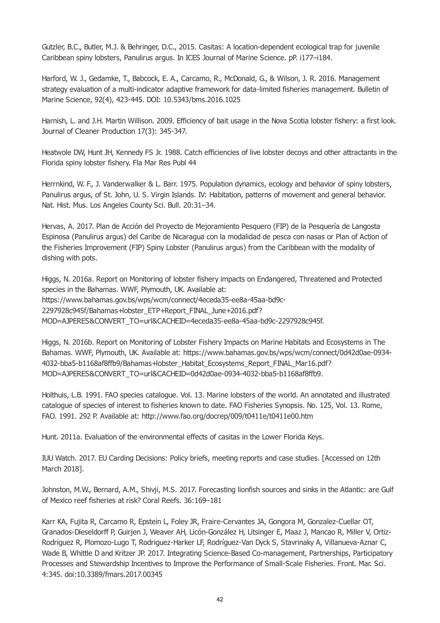Gutzler, B.C., Butler, M.J. & Behringer, D.C., 2015. Casitas: A location-dependent ecological trap for juvenile Caribbean spiny lobsters, Panulirus argus. In ICES Journal of Marine Science. pP. i177–i184.

Harford, W. J., Gedamke, T., Babcock, E. A., Carcamo, R., McDonald, G., & Wilson, J. R. 2016. Management strategy evaluation of a multi-indicator adaptive framework for data-limited fisheries management. Bulletin of Marine Science, 92(4), 423-445. DOI: 10.5343/bms.2016.1025

Harnish, L. and J.H. Martin Willison. 2009. Efficiency of bait usage in the Nova Scotia lobster fishery: a first look. Journal of Cleaner Production 17(3): 345-347.

Heatwole DW, Hunt JH, Kennedy FS Jr. 1988. Catch efficiencies of live lobster decoys and other attractants in the Florida spiny lobster fishery. Fla Mar Res Publ 44

Herrnkind, W. F., J. Vanderwalker & L. Barr. 1975. Population dynamics, ecology and behavior of spiny lobsters, Panulirus argus, of St. John, U. S. Virgin Islands. IV: Habitation, patterns of movement and general behavior. Nat. Hist. Mus. Los Angeles County Sci. Bull. 20:31–34.

Hervas, A. 2017. Plan de Acción del Proyecto de Mejoramiento Pesquero (FIP) de la Pesquería de Langosta Espinosa (Panulirus argus) del Caribe de Nicaragua con la modalidad de pesca con nasas or Plan of Action of the Fisheries Improvement (FIP) Spiny Lobster (Panulirus argus) from the Caribbean with the modality of dishing with pots.

Higgs, N. 2016a. Report on Monitoring of lobster fishery impacts on Endangered, Threatened and Protected species in the Bahamas. WWF, Plymouth, UK. Available at: https://www.bahamas.gov.bs/wps/wcm/connect/4eceda35-ee8a-45aa-bd9c-2297928c945f/Bahamas+lobster\_ETP+Report\_FINAL\_June+2016.pdf? MOD=AJPERES&CONVERT\_TO=url&CACHEID=4eceda35-ee8a-45aa-bd9c-2297928c945f.

Higgs, N. 2016b. Report on Monitoring of Lobster Fishery Impacts on Marine Habitats and Ecosystems in The Bahamas. WWF, Plymouth, UK. Available at: https://www.bahamas.gov.bs/wps/wcm/connect/0d42d0ae-0934- 4032-bba5-b1168af8ffb9/Bahamas+lobster\_Habitat\_Ecosystems\_Report\_FINAL\_Mar16.pdf? MOD=AJPERES&CONVERT\_TO=url&CACHEID=0d42d0ae-0934-4032-bba5-b1168af8ffb9.

Holthuis, L.B. 1991. FAO species catalogue. Vol. 13. Marine lobsters of the world. An annotated and illustrated catalogue of species of interest to fisheries known to date. FAO Fisheries Synopsis. No. 125, Vol. 13. Rome, FAO. 1991. 292 P. Available at: http://www.fao.org/docrep/009/t0411e/t0411e00.htm

Hunt. 2011a. Evaluation of the environmental effects of casitas in the Lower Florida Keys.

IUU Watch. 2017. EU Carding Decisions: Policy briefs, meeting reports and case studies. [Accessed on 12th March 2018].

Johnston, M.W., Bernard, A.M., Shivji, M.S. 2017. Forecasting lionfish sources and sinks in the Atlantic: are Gulf of Mexico reef fisheries at risk? Coral Reefs. 36:169–181

Karr KA, Fujita R, Carcamo R, Epstein L, Foley JR, Fraire-Cervantes JA, Gongora M, Gonzalez-Cuellar OT, Granados-Dieseldorff P, Guirjen J, Weaver AH, Licón-González H, Litsinger E, Maaz J, Mancao R, Miller V, Ortiz-Rodriguez R, Plomozo-Lugo T, Rodriguez-Harker LF, Rodríguez-Van Dyck S, Stavrinaky A, Villanueva-Aznar C, Wade B, Whittle D and Kritzer JP. 2017. Integrating Science-Based Co-management, Partnerships, Participatory Processes and Stewardship Incentives to Improve the Performance of Small-Scale Fisheries. Front. Mar. Sci. 4:345. doi:10.3389/fmars.2017.00345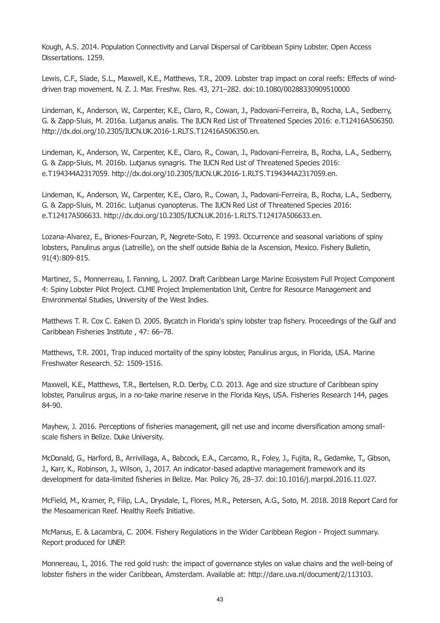Kough, A.S. 2014. Population Connectivity and Larval Dispersal of Caribbean Spiny Lobster. Open Access Dissertations. 1259.

Lewis, C.F., Slade, S.L., Maxwell, K.E., Matthews, T.R., 2009. Lobster trap impact on coral reefs: Effects of winddriven trap movement. N. Z. J. Mar. Freshw. Res. 43, 271–282. doi:10.1080/00288330909510000

Lindeman, K., Anderson, W., Carpenter, K.E., Claro, R., Cowan, J., Padovani-Ferreira, B., Rocha, L.A., Sedberry, G. & Zapp-Sluis, M. 2016a. Lutjanus analis. The IUCN Red List of Threatened Species 2016: e.T12416A506350. http://dx.doi.org/10.2305/IUCN.UK.2016-1.RLTS.T12416A506350.en.

Lindeman, K., Anderson, W., Carpenter, K.E., Claro, R., Cowan, J., Padovani-Ferreira, B., Rocha, L.A., Sedberry, G. & Zapp-Sluis, M. 2016b. Lutjanus synagris. The IUCN Red List of Threatened Species 2016: e.T194344A2317059. http://dx.doi.org/10.2305/IUCN.UK.2016-1.RLTS.T194344A2317059.en.

Lindeman, K., Anderson, W., Carpenter, K.E., Claro, R., Cowan, J., Padovani-Ferreira, B., Rocha, L.A., Sedberry, G. & Zapp-Sluis, M. 2016c. Lutjanus cyanopterus. The IUCN Red List of Threatened Species 2016: e.T12417A506633. http://dx.doi.org/10.2305/IUCN.UK.2016-1.RLTS.T12417A506633.en.

Lozana-Alvarez, E., Briones-Fourzan, P., Negrete-Soto, F. 1993. Occurrence and seasonal variations of spiny lobsters, Panulirus argus (Latreille), on the shelf outside Bahia de la Ascension, Mexico. Fishery Bulletin, 91(4):809-815.

Martinez, S., Monnerreau, I. Fanning, L. 2007. Draft Caribbean Large Marine Ecosystem Full Project Component 4: Spiny Lobster Pilot Project. CLME Project Implementation Unit, Centre for Resource Management and Environmental Studies, University of the West Indies.

Matthews T. R. Cox C. Eaken D. 2005. Bycatch in Florida's spiny lobster trap fishery. Proceedings of the Gulf and Caribbean Fisheries Institute , 47: 66–78.

Matthews, T.R. 2001, Trap induced mortality of the spiny lobster, Panulirus argus, in Florida, USA. Marine Freshwater Research. 52: 1509-1516.

Maxwell, K.E., Matthews, T.R., Bertelsen, R.D. Derby, C.D. 2013. Age and size structure of Caribbean spiny lobster, Panulirus argus, in a no-take marine reserve in the Florida Keys, USA. Fisheries Research 144, pages 84-90.

Mayhew, J. 2016. Perceptions of fisheries management, gill net use and income diversification among smallscale fishers in Belize. Duke University.

McDonald, G., Harford, B., Arrivillaga, A., Babcock, E.A., Carcamo, R., Foley, J., Fujita, R., Gedamke, T., Gibson, J., Karr, K., Robinson, J., Wilson, J., 2017. An indicator-based adaptive management framework and its development for data-limited fisheries in Belize. Mar. Policy 76, 28–37. doi:10.1016/j.marpol.2016.11.027.

McField, M., Kramer, P., Filip, L.A., Drysdale, I., Flores, M.R., Petersen, A.G., Soto, M. 2018. 2018 Report Card for the Mesoamerican Reef. Healthy Reefs Initiative.

McManus, E. & Lacambra, C. 2004. Fishery Regulations in the Wider Caribbean Region - Project summary. Report produced for UNEP.

Monnereau, I., 2016. The red gold rush: the impact of governance styles on value chains and the well-being of lobster fishers in the wider Caribbean, Amsterdam. Available at: http://dare.uva.nl/document/2/113103.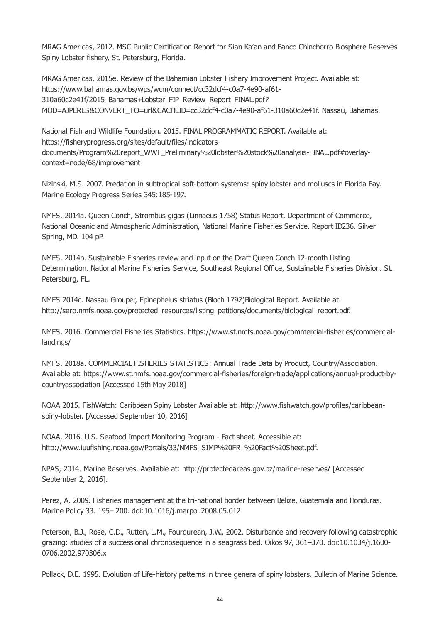MRAG Americas, 2012. MSC Public Certification Report for Sian Ka'an and Banco Chinchorro Biosphere Reserves Spiny Lobster fishery, St. Petersburg, Florida.

MRAG Americas, 2015e. Review of the Bahamian Lobster Fishery Improvement Project. Available at: https://www.bahamas.gov.bs/wps/wcm/connect/cc32dcf4-c0a7-4e90-af61- 310a60c2e41f/2015\_Bahamas+Lobster\_FIP\_Review\_Report\_FINAL.pdf? MOD=AJPERES&CONVERT\_TO=url&CACHEID=cc32dcf4-c0a7-4e90-af61-310a60c2e41f. Nassau, Bahamas.

National Fish and Wildlife Foundation. 2015. FINAL PROGRAMMATIC REPORT. Available at: https://fisheryprogress.org/sites/default/files/indicatorsdocuments/Program%20report\_WWF\_Preliminary%20lobster%20stock%20analysis-FINAL.pdf#overlaycontext=node/68/improvement

Nizinski, M.S. 2007. Predation in subtropical soft-bottom systems: spiny lobster and molluscs in Florida Bay. Marine Ecology Progress Series 345:185-197.

NMFS. 2014a. Queen Conch, Strombus gigas (Linnaeus 1758) Status Report. Department of Commerce, National Oceanic and Atmospheric Administration, National Marine Fisheries Service. Report ID236. Silver Spring, MD. 104 pP.

NMFS. 2014b. Sustainable Fisheries review and input on the Draft Queen Conch 12-month Listing Determination. National Marine Fisheries Service, Southeast Regional Office, Sustainable Fisheries Division. St. Petersburg, FL.

NMFS 2014c. Nassau Grouper, Epinephelus striatus (Bloch 1792)Biological Report. Available at: http://sero.nmfs.noaa.gov/protected\_resources/listing\_petitions/documents/biological\_report.pdf.

NMFS, 2016. Commercial Fisheries Statistics. https://www.st.nmfs.noaa.gov/commercial-fisheries/commerciallandings/

NMFS. 2018a. COMMERCIAL FISHERIES STATISTICS: Annual Trade Data by Product, Country/Association. Available at: https://www.st.nmfs.noaa.gov/commercial-fisheries/foreign-trade/applications/annual-product-bycountryassociation [Accessed 15th May 2018]

NOAA 2015. FishWatch: Caribbean Spiny Lobster Available at: http://www.fishwatch.gov/profiles/caribbeanspiny-lobster. [Accessed September 10, 2016]

NOAA, 2016. U.S. Seafood Import Monitoring Program - Fact sheet. Accessible at: http://www.iuufishing.noaa.gov/Portals/33/NMFS\_SIMP%20FR\_%20Fact%20Sheet.pdf.

NPAS, 2014. Marine Reserves. Available at: http://protectedareas.gov.bz/marine-reserves/ [Accessed September 2, 2016].

Perez, A. 2009. Fisheries management at the tri-national border between Belize, Guatemala and Honduras. Marine Policy 33. 195– 200. doi:10.1016/j.marpol.2008.05.012

Peterson, B.J., Rose, C.D., Rutten, L.M., Fourqurean, J.W., 2002. Disturbance and recovery following catastrophic grazing: studies of a successional chronosequence in a seagrass bed. Oikos 97, 361–370. doi:10.1034/j.1600- 0706.2002.970306.x

Pollack, D.E. 1995. Evolution of Life-history patterns in three genera of spiny lobsters. Bulletin of Marine Science.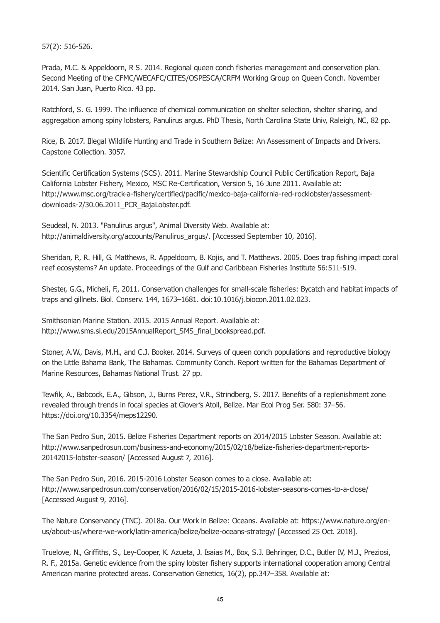57(2): 516-526.

Prada, M.C. & Appeldoorn, R S. 2014. Regional queen conch fisheries management and conservation plan. Second Meeting of the CFMC/WECAFC/CITES/OSPESCA/CRFM Working Group on Queen Conch. November 2014. San Juan, Puerto Rico. 43 pp.

Ratchford, S. G. 1999. The influence of chemical communication on shelter selection, shelter sharing, and aggregation among spiny lobsters, Panulirus argus. PhD Thesis, North Carolina State Univ, Raleigh, NC, 82 pp.

Rice, B. 2017. Illegal Wildlife Hunting and Trade in Southern Belize: An Assessment of Impacts and Drivers. Capstone Collection. 3057.

Scientific Certification Systems (SCS). 2011. Marine Stewardship Council Public Certification Report, Baja California Lobster Fishery, Mexico, MSC Re-Certification, Version 5, 16 June 2011. Available at: http://www.msc.org/track-a-fishery/certified/pacific/mexico-baja-california-red-rocklobster/assessmentdownloads-2/30.06.2011\_PCR\_BajaLobster.pdf.

Seudeal, N. 2013. "Panulirus argus", Animal Diversity Web. Available at: http://animaldiversity.org/accounts/Panulirus\_argus/. [Accessed September 10, 2016].

Sheridan, P., R. Hill, G. Matthews, R. Appeldoorn, B. Kojis, and T. Matthews. 2005. Does trap fishing impact coral reef ecosystems? An update. Proceedings of the Gulf and Caribbean Fisheries Institute 56:511-519.

Shester, G.G., Micheli, F., 2011. Conservation challenges for small-scale fisheries: Bycatch and habitat impacts of traps and gillnets. Biol. Conserv. 144, 1673–1681. doi:10.1016/j.biocon.2011.02.023.

Smithsonian Marine Station. 2015. 2015 Annual Report. Available at: http://www.sms.si.edu/2015AnnualReport\_SMS\_final\_bookspread.pdf.

Stoner, A.W., Davis, M.H., and C.J. Booker. 2014. Surveys of queen conch populations and reproductive biology on the Little Bahama Bank, The Bahamas. Community Conch. Report written for the Bahamas Department of Marine Resources, Bahamas National Trust. 27 pp.

Tewfik, A., Babcock, E.A., Gibson, J., Burns Perez, V.R., Strindberg, S. 2017. Benefits of a replenishment zone revealed through trends in focal species at Glover's Atoll, Belize. Mar Ecol Prog Ser. 580: 37–56. https://doi.org/10.3354/meps12290.

The San Pedro Sun, 2015. Belize Fisheries Department reports on 2014/2015 Lobster Season. Available at: http://www.sanpedrosun.com/business-and-economy/2015/02/18/belize-fisheries-department-reports-20142015-lobster-season/ [Accessed August 7, 2016].

The San Pedro Sun, 2016. 2015-2016 Lobster Season comes to a close. Available at: http://www.sanpedrosun.com/conservation/2016/02/15/2015-2016-lobster-seasons-comes-to-a-close/ [Accessed August 9, 2016].

The Nature Conservancy (TNC). 2018a. Our Work in Belize: Oceans. Available at: https://www.nature.org/enus/about-us/where-we-work/latin-america/belize/belize-oceans-strategy/ [Accessed 25 Oct. 2018].

Truelove, N., Griffiths, S., Ley-Cooper, K. Azueta, J. Isaias M., Box, S.J. Behringer, D.C., Butler IV, M.J., Preziosi, R. F., 2015a. Genetic evidence from the spiny lobster fishery supports international cooperation among Central American marine protected areas. Conservation Genetics, 16(2), pp.347–358. Available at: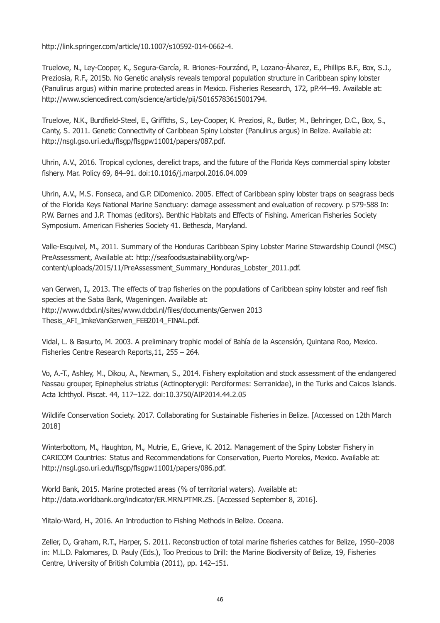http://link.springer.com/article/10.1007/s10592-014-0662-4.

Truelove, N., Ley-Cooper, K., Segura-García, R. Briones-Fourzánd, P., Lozano-Álvarez, E., Phillips B.F., Box, S.J., Preziosia, R.F., 2015b. No Genetic analysis reveals temporal population structure in Caribbean spiny lobster (Panulirus argus) within marine protected areas in Mexico. Fisheries Research, 172, pP.44–49. Available at: http://www.sciencedirect.com/science/article/pii/S0165783615001794.

Truelove, N.K., Burdfield-Steel, E., Griffiths, S., Ley-Cooper, K. Preziosi, R., Butler, M., Behringer, D.C., Box, S., Canty, S. 2011. Genetic Connectivity of Caribbean Spiny Lobster (Panulirus argus) in Belize. Available at: http://nsgl.gso.uri.edu/flsgp/flsgpw11001/papers/087.pdf.

Uhrin, A.V., 2016. Tropical cyclones, derelict traps, and the future of the Florida Keys commercial spiny lobster fishery. Mar. Policy 69, 84–91. doi:10.1016/j.marpol.2016.04.009

Uhrin, A.V., M.S. Fonseca, and G.P. DiDomenico. 2005. Effect of Caribbean spiny lobster traps on seagrass beds of the Florida Keys National Marine Sanctuary: damage assessment and evaluation of recovery. p 579-588 In: P.W. Barnes and J.P. Thomas (editors). Benthic Habitats and Effects of Fishing. American Fisheries Society Symposium. American Fisheries Society 41. Bethesda, Maryland.

Valle-Esquivel, M., 2011. Summary of the Honduras Caribbean Spiny Lobster Marine Stewardship Council (MSC) PreAssessment, Available at: http://seafoodsustainability.org/wpcontent/uploads/2015/11/PreAssessment\_Summary\_Honduras\_Lobster\_2011.pdf.

van Gerwen, I., 2013. The effects of trap fisheries on the populations of Caribbean spiny lobster and reef fish species at the Saba Bank, Wageningen. Available at: http://www.dcbd.nl/sites/www.dcbd.nl/files/documents/Gerwen 2013 Thesis AFI\_ImkeVanGerwen\_FEB2014\_FINAL.pdf.

Vidal, L. & Basurto, M. 2003. A preliminary trophic model of Bahía de la Ascensión, Quintana Roo, Mexico. Fisheries Centre Research Reports,11, 255 – 264.

Vo, A.-T., Ashley, M., Dikou, A., Newman, S., 2014. Fishery exploitation and stock assessment of the endangered Nassau grouper, Epinephelus striatus (Actinopterygii: Perciformes: Serranidae), in the Turks and Caicos Islands. Acta Ichthyol. Piscat. 44, 117–122. doi:10.3750/AIP2014.44.2.05

Wildlife Conservation Society. 2017. Collaborating for Sustainable Fisheries in Belize. [Accessed on 12th March 2018]

Winterbottom, M., Haughton, M., Mutrie, E., Grieve, K. 2012. Management of the Spiny Lobster Fishery in CARICOM Countries: Status and Recommendations for Conservation, Puerto Morelos, Mexico. Available at: http://nsgl.gso.uri.edu/flsgp/flsgpw11001/papers/086.pdf.

World Bank, 2015. Marine protected areas (% of territorial waters). Available at: http://data.worldbank.org/indicator/ER.MRN.PTMR.ZS. [Accessed September 8, 2016].

Ylitalo-Ward, H., 2016. An Introduction to Fishing Methods in Belize. Oceana.

Zeller, D., Graham, R.T., Harper, S. 2011. Reconstruction of total marine fisheries catches for Belize, 1950–2008 in: M.L.D. Palomares, D. Pauly (Eds.), Too Precious to Drill: the Marine Biodiversity of Belize, 19, Fisheries Centre, University of British Columbia (2011), pp. 142–151.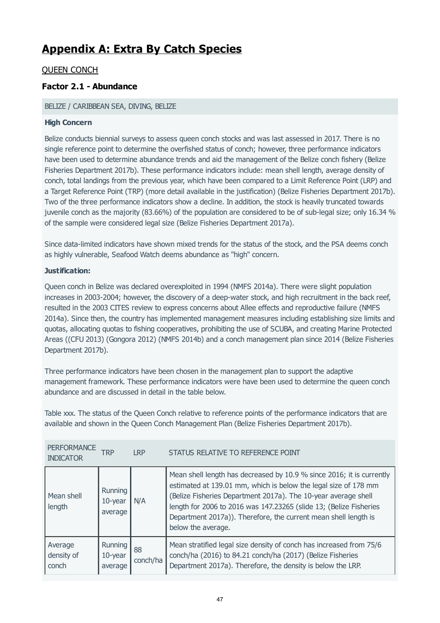# **Appendix A: Extra By Catch Species**

# QUEEN CONCH

# **Factor 2.1 - Abundance**

## BELIZE / CARIBBEAN SEA, DIVING, BELIZE

## **High Concern**

Belize conducts biennial surveys to assess queen conch stocks and was last assessed in 2017. There is no single reference point to determine the overfished status of conch; however, three performance indicators have been used to determine abundance trends and aid the management of the Belize conch fishery (Belize Fisheries Department 2017b). These performance indicators include: mean shell length, average density of conch, total landings from the previous year, which have been compared to a Limit Reference Point (LRP) and a Target Reference Point (TRP) (more detail available in the justification) (Belize Fisheries Department 2017b). Two of the three performance indicators show a decline. In addition, the stock is heavily truncated towards juvenile conch as the majority (83.66%) of the population are considered to be of sub-legal size; only 16.34 % of the sample were considered legal size (Belize Fisheries Department 2017a).

Since data-limited indicators have shown mixed trends for the status of the stock, and the PSA deems conch as highly vulnerable, Seafood Watch deems abundance as "high" concern.

## **Justification:**

Queen conch in Belize was declared overexploited in 1994 (NMFS 2014a). There were slight population increases in 2003-2004; however, the discovery of a deep-water stock, and high recruitment in the back reef, resulted in the 2003 CITES review to express concerns about Allee effects and reproductive failure (NMFS 2014a). Since then, the country has implemented management measures including establishing size limits and quotas, allocating quotas to fishing cooperatives, prohibiting the use of SCUBA, and creating Marine Protected Areas ((CFU 2013) (Gongora 2012) (NMFS 2014b) and a conch management plan since 2014 (Belize Fisheries Department 2017b).

Three performance indicators have been chosen in the management plan to support the adaptive management framework. These performance indicators were have been used to determine the queen conch abundance and are discussed in detail in the table below.

Table xxx. The status of the Queen Conch relative to reference points of the performance indicators that are available and shown in the Queen Conch Management Plan (Belize Fisheries Department 2017b).

| <b>PERFORMANCE</b><br><b>INDICATOR</b> | `RP                              | <b>LRP</b>     | STATUS RELATIVE TO REFERENCE POINT                                                                                                                                                                                                                                                                                                                                        |
|----------------------------------------|----------------------------------|----------------|---------------------------------------------------------------------------------------------------------------------------------------------------------------------------------------------------------------------------------------------------------------------------------------------------------------------------------------------------------------------------|
| Mean shell<br>length                   | Running<br>$10$ -year<br>average | N/A            | Mean shell length has decreased by 10.9 % since 2016; it is currently<br>estimated at 139.01 mm, which is below the legal size of 178 mm<br>(Belize Fisheries Department 2017a). The 10-year average shell<br>length for 2006 to 2016 was 147.23265 (slide 13; (Belize Fisheries<br>Department 2017a)). Therefore, the current mean shell length is<br>below the average. |
| Average<br>density of<br>conch         | Running<br>$10$ -year<br>average | 88<br>conch/ha | Mean stratified legal size density of conch has increased from 75/6<br>conch/ha (2016) to 84.21 conch/ha (2017) (Belize Fisheries<br>Department 2017a). Therefore, the density is below the LRP.                                                                                                                                                                          |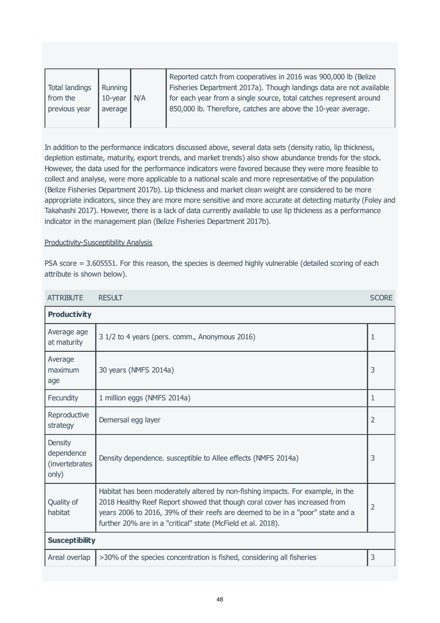In addition to the performance indicators discussed above, several data sets (density ratio, lip thickness, depletion estimate, maturity, export trends, and market trends) also show abundance trends for the stock. However, the data used for the performance indicators were favored because they were more feasible to collect and analyse, were more applicable to a national scale and more representative of the population (Belize Fisheries Department 2017b). Lip thickness and market clean weight are considered to be more appropriate indicators, since they are more more sensitive and more accurate at detecting maturity (Foley and Takahashi 2017). However, there is a lack of data currently available to use lip thickness as a performance indicator in the management plan (Belize Fisheries Department 2017b).

## Productivity-Susceptibility Analysis

PSA score = 3.605551. For this reason, the species is deemed highly vulnerable (detailed scoring of each attribute is shown below).

| <b>ATTRIBUTE</b>                                        | <b>RESULT</b>                                                                                                                                                                                                                                                                                                    | <b>SCORE</b>   |  |
|---------------------------------------------------------|------------------------------------------------------------------------------------------------------------------------------------------------------------------------------------------------------------------------------------------------------------------------------------------------------------------|----------------|--|
| <b>Productivity</b>                                     |                                                                                                                                                                                                                                                                                                                  |                |  |
| Average age<br>at maturity                              | 3 1/2 to 4 years (pers. comm., Anonymous 2016)                                                                                                                                                                                                                                                                   | 1              |  |
| Average<br>maximum<br>age                               | 30 years (NMFS 2014a)                                                                                                                                                                                                                                                                                            | 3              |  |
| Fecundity                                               | 1 million eggs (NMFS 2014a)                                                                                                                                                                                                                                                                                      | $\mathbf{1}$   |  |
| Reproductive<br>strategy                                | Demersal egg layer                                                                                                                                                                                                                                                                                               | $\overline{2}$ |  |
| <b>Density</b><br>dependence<br>(invertebrates<br>only) | Density dependence. susceptible to Allee effects (NMFS 2014a)                                                                                                                                                                                                                                                    | 3              |  |
| Quality of<br>habitat                                   | Habitat has been moderately altered by non-fishing impacts. For example, in the<br>2018 Healthy Reef Report showed that though coral cover has increased from<br>years 2006 to 2016, 39% of their reefs are deemed to be in a "poor" state and a<br>further 20% are in a "critical" state (McField et al. 2018). | $\overline{2}$ |  |
| <b>Susceptibility</b>                                   |                                                                                                                                                                                                                                                                                                                  |                |  |
| Areal overlap                                           | >30% of the species concentration is fished, considering all fisheries                                                                                                                                                                                                                                           | 3              |  |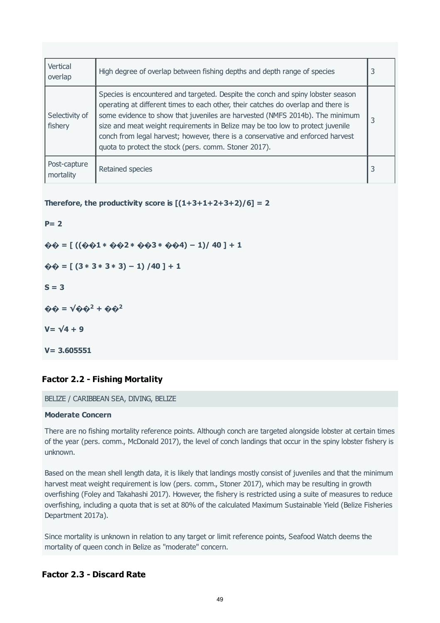<span id="page-48-0"></span>

| Vertical<br>overlap       | High degree of overlap between fishing depths and depth range of species                                                                                                                                                                                                                                                                                                                                                                                                           | 3 |
|---------------------------|------------------------------------------------------------------------------------------------------------------------------------------------------------------------------------------------------------------------------------------------------------------------------------------------------------------------------------------------------------------------------------------------------------------------------------------------------------------------------------|---|
| Selectivity of<br>fishery | Species is encountered and targeted. Despite the conch and spiny lobster season<br>operating at different times to each other, their catches do overlap and there is<br>some evidence to show that juveniles are harvested (NMFS 2014b). The minimum<br>size and meat weight requirements in Belize may be too low to protect juvenile<br>conch from legal harvest; however, there is a conservative and enforced harvest<br>quota to protect the stock (pers. comm. Stoner 2017). | 3 |
| Post-capture<br>mortality | Retained species                                                                                                                                                                                                                                                                                                                                                                                                                                                                   | 3 |

**Therefore, the productivity score is**  $[(1+3+1+2+3+2)/6] = 2$ 

**P= 2 �� = [ ((��1** ∗ **��2** ∗ **��3** ∗ **��4) − 1)/ 40 ] + 1 �� = [ (3** ∗ **3** ∗ **3** ∗ **3) − 1) /40 ] + 1 S = 3**  $\hat{\mathbf{\Theta}} \hat{\mathbf{\Theta}} = \sqrt{\hat{\mathbf{\Theta}} \hat{\mathbf{\Theta}}^2 + \hat{\mathbf{\Theta}} \hat{\mathbf{\Theta}}^2}$ **V= √4 + 9 V= 3.605551**

# **Factor 2.2 - Fishing Mortality**

#### BELIZE / CARIBBEAN SEA, DIVING, BELIZE

#### **Moderate Concern**

There are no fishing mortality reference points. Although conch are targeted alongside lobster at certain times of the year (pers. comm., McDonald 2017), the level of conch landings that occur in the spiny lobster fishery is unknown.

Based on the mean shell length data, it is likely that landings mostly consist of juveniles and that the minimum harvest meat weight requirement is low (pers. comm., Stoner 2017), which may be resulting in growth overfishing (Foley and Takahashi 2017). However, the fishery is restricted using a suite of measures to reduce overfishing, including a quota that is set at 80% of the calculated Maximum Sustainable Yield (Belize Fisheries Department 2017a).

Since mortality is unknown in relation to any target or limit reference points, Seafood Watch deems the mortality of queen conch in Belize as "moderate" concern.

# **Factor 2.3 - Discard Rate**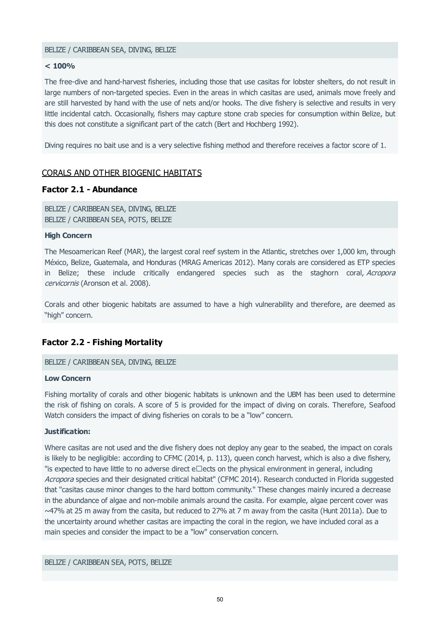#### BELIZE / CARIBBEAN SEA, DIVING, BELIZE

#### **< 100%**

The free-dive and hand-harvest fisheries, including those that use casitas for lobster shelters, do not result in large numbers of non-targeted species. Even in the areas in which casitas are used, animals move freely and are still harvested by hand with the use of nets and/or hooks. The dive fishery is selective and results in very little incidental catch. Occasionally, fishers may capture stone crab species for consumption within Belize, but this does not constitute a significant part of the catch (Bert and Hochberg 1992).

Diving requires no bait use and is a very selective fishing method and therefore receives a factor score of 1.

# CORALS AND OTHER BIOGENIC HABITATS

#### **Factor 2.1 - Abundance**

BELIZE / CARIBBEAN SEA, DIVING, BELIZE BELIZE / CARIBBEAN SEA, POTS, BELIZE

#### **High Concern**

The Mesoamerican Reef (MAR), the largest coral reef system in the Atlantic, stretches over 1,000 km, through México, Belize, Guatemala, and Honduras (MRAG Americas 2012). Many corals are considered as ETP species in Belize; these include critically endangered species such as the staghorn coral, Acropora cervicornis (Aronson et al. 2008).

Corals and other biogenic habitats are assumed to have a high vulnerability and therefore, are deemed as "high" concern.

# **Factor 2.2 - Fishing Mortality**

BELIZE / CARIBBEAN SEA, DIVING, BELIZE

#### **Low Concern**

Fishing mortality of corals and other biogenic habitats is unknown and the UBM has been used to determine the risk of fishing on corals. A score of 5 is provided for the impact of diving on corals. Therefore, Seafood Watch considers the impact of diving fisheries on corals to be a "low" concern.

#### **Justification:**

Where casitas are not used and the dive fishery does not deploy any gear to the seabed, the impact on corals is likely to be negligible: according to CFMC (2014, p. 113), queen conch harvest, which is also a dive fishery, "is expected to have little to no adverse direct  $e\Box$ ects on the physical environment in general, including Acropora species and their designated critical habitat" (CFMC 2014). Research conducted in Florida suggested that "casitas cause minor changes to the hard bottom community." These changes mainly incured a decrease in the abundance of algae and non-mobile animals around the casita. For example, algae percent cover was ~47% at 25 m away from the casita, but reduced to 27% at 7 m away from the casita (Hunt 2011a). Due to the uncertainty around whether casitas are impacting the coral in the region, we have included coral as a main species and consider the impact to be a "low" conservation concern.

#### BELIZE / CARIBBEAN SEA, POTS, BELIZE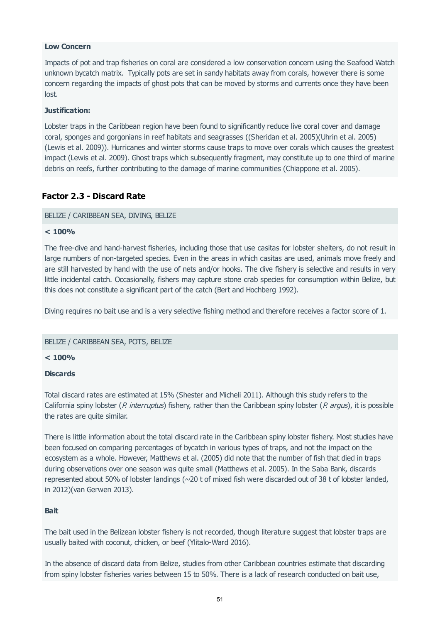# **Low Concern**

Impacts of pot and trap fisheries on coral are considered a low conservation concern using the Seafood Watch unknown bycatch matrix. Typically pots are set in sandy habitats away from corals, however there is some concern regarding the impacts of ghost pots that can be moved by storms and currents once they have been lost.

#### **Justification:**

Lobster traps in the Caribbean region have been found to significantly reduce live coral cover and damage coral, sponges and gorgonians in reef habitats and seagrasses ((Sheridan et al. 2005)(Uhrin et al. 2005) (Lewis et al. 2009)). Hurricanes and winter storms cause traps to move over corals which causes the greatest impact (Lewis et al. 2009). Ghost traps which subsequently fragment, may constitute up to one third of marine debris on reefs, further contributing to the damage of marine communities (Chiappone et al. 2005).

# **Factor 2.3 - Discard Rate**

#### BELIZE / CARIBBEAN SEA, DIVING, BELIZE

#### **< 100%**

The free-dive and hand-harvest fisheries, including those that use casitas for lobster shelters, do not result in large numbers of non-targeted species. Even in the areas in which casitas are used, animals move freely and are still harvested by hand with the use of nets and/or hooks. The dive fishery is selective and results in very little incidental catch. Occasionally, fishers may capture stone crab species for consumption within Belize, but this does not constitute a significant part of the catch (Bert and Hochberg 1992).

Diving requires no bait use and is a very selective fishing method and therefore receives a factor score of 1.

#### BELIZE / CARIBBEAN SEA, POTS, BELIZE

#### **< 100%**

#### **Discards**

Total discard rates are estimated at 15% (Shester and Micheli 2011). Although this study refers to the California spiny lobster (P. interruptus) fishery, rather than the Caribbean spiny lobster (P. argus), it is possible the rates are quite similar.

There is little information about the total discard rate in the Caribbean spiny lobster fishery. Most studies have been focused on comparing percentages of bycatch in various types of traps, and not the impact on the ecosystem as a whole. However, Matthews et al. (2005) did note that the number of fish that died in traps during observations over one season was quite small (Matthews et al. 2005). In the Saba Bank, discards represented about 50% of lobster landings (~20 t of mixed fish were discarded out of 38 t of lobster landed, in 2012)(van Gerwen 2013).

#### **Bait**

The bait used in the Belizean lobster fishery is not recorded, though literature suggest that lobster traps are usually baited with coconut, chicken, or beef (Ylitalo-Ward 2016).

In the absence of discard data from Belize, studies from other Caribbean countries estimate that discarding from spiny lobster fisheries varies between 15 to 50%. There is a lack of research conducted on bait use,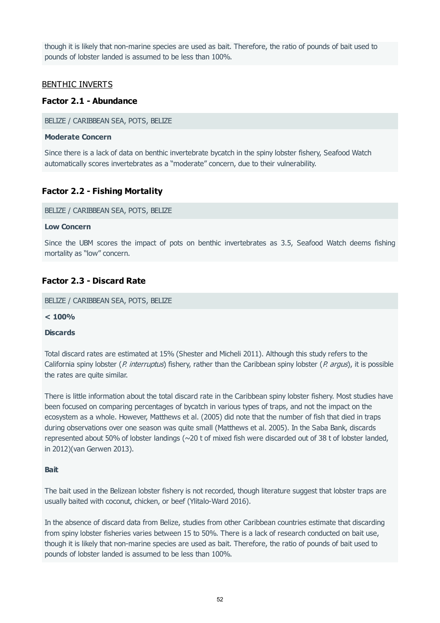though it is likely that non-marine species are used as bait. Therefore, the ratio of pounds of bait used to pounds of lobster landed is assumed to be less than 100%.

## BENTHIC INVERTS

## **Factor 2.1 - Abundance**

BELIZE / CARIBBEAN SEA, POTS, BELIZE

#### **Moderate Concern**

Since there is a lack of data on benthic invertebrate bycatch in the spiny lobster fishery, Seafood Watch automatically scores invertebrates as a "moderate" concern, due to their vulnerability.

# **Factor 2.2 - Fishing Mortality**

BELIZE / CARIBBEAN SEA, POTS, BELIZE

#### **Low Concern**

Since the UBM scores the impact of pots on benthic invertebrates as 3.5, Seafood Watch deems fishing mortality as "low" concern.

# **Factor 2.3 - Discard Rate**

BELIZE / CARIBBEAN SEA, POTS, BELIZE

**< 100%**

#### **Discards**

Total discard rates are estimated at 15% (Shester and Micheli 2011). Although this study refers to the California spiny lobster (P. interruptus) fishery, rather than the Caribbean spiny lobster (P. argus), it is possible the rates are quite similar.

There is little information about the total discard rate in the Caribbean spiny lobster fishery. Most studies have been focused on comparing percentages of bycatch in various types of traps, and not the impact on the ecosystem as a whole. However, Matthews et al. (2005) did note that the number of fish that died in traps during observations over one season was quite small (Matthews et al. 2005). In the Saba Bank, discards represented about 50% of lobster landings (~20 t of mixed fish were discarded out of 38 t of lobster landed, in 2012)(van Gerwen 2013).

#### **Bait**

The bait used in the Belizean lobster fishery is not recorded, though literature suggest that lobster traps are usually baited with coconut, chicken, or beef (Ylitalo-Ward 2016).

In the absence of discard data from Belize, studies from other Caribbean countries estimate that discarding from spiny lobster fisheries varies between 15 to 50%. There is a lack of research conducted on bait use, though it is likely that non-marine species are used as bait. Therefore, the ratio of pounds of bait used to pounds of lobster landed is assumed to be less than 100%.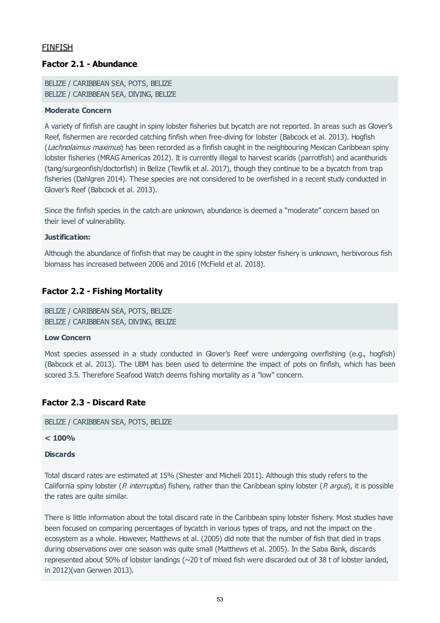# FINFISH

# **Factor 2.1 - Abundance**

BELIZE / CARIBBEAN SEA, POTS, BELIZE BELIZE / CARIBBEAN SEA, DIVING, BELIZE

#### **Moderate Concern**

A variety of finfish are caught in spiny lobster fisheries but bycatch are not reported. In areas such as Glover's Reef, fishermen are recorded catching finfish when free-diving for lobster (Babcock et al. 2013). Hogfish (Lachnolaimus maximus) has been recorded as a finfish caught in the neighbouring Mexican Caribbean spiny lobster fisheries (MRAG Americas 2012). It is currently illegal to harvest scarids (parrotfish) and acanthurids (tang/surgeonfish/doctorfish) in Belize (Tewfik et al. 2017), though they continue to be a bycatch from trap fisheries (Dahlgren 2014). These species are not considered to be overfished in a recent study conducted in Glover's Reef (Babcock et al. 2013).

Since the finfish species in the catch are unknown, abundance is deemed a "moderate" concern based on their level of vulnerability.

#### **Justification:**

Although the abundance of finfish that may be caught in the spiny lobster fishery is unknown, herbivorous fish biomass has increased between 2006 and 2016 (McField et al. 2018).

## **Factor 2.2 - Fishing Mortality**

BELIZE / CARIBBEAN SEA, POTS, BELIZE BELIZE / CARIBBEAN SEA, DIVING, BELIZE

#### **Low Concern**

Most species assessed in a study conducted in Glover's Reef were undergoing overfishing (e.g., hogfish) (Babcock et al. 2013). The UBM has been used to determine the impact of pots on finfish, which has been scored 3.5. Therefore Seafood Watch deems fishing mortality as a "low" concern.

# **Factor 2.3 - Discard Rate**

BELIZE / CARIBBEAN SEA, POTS, BELIZE

#### **< 100%**

#### **Discards**

Total discard rates are estimated at 15% (Shester and Micheli 2011). Although this study refers to the California spiny lobster (P. interruptus) fishery, rather than the Caribbean spiny lobster (P. argus), it is possible the rates are quite similar.

There is little information about the total discard rate in the Caribbean spiny lobster fishery. Most studies have been focused on comparing percentages of bycatch in various types of traps, and not the impact on the ecosystem as a whole. However, Matthews et al. (2005) did note that the number of fish that died in traps during observations over one season was quite small (Matthews et al. 2005). In the Saba Bank, discards represented about 50% of lobster landings (~20 t of mixed fish were discarded out of 38 t of lobster landed, in 2012)(van Gerwen 2013).